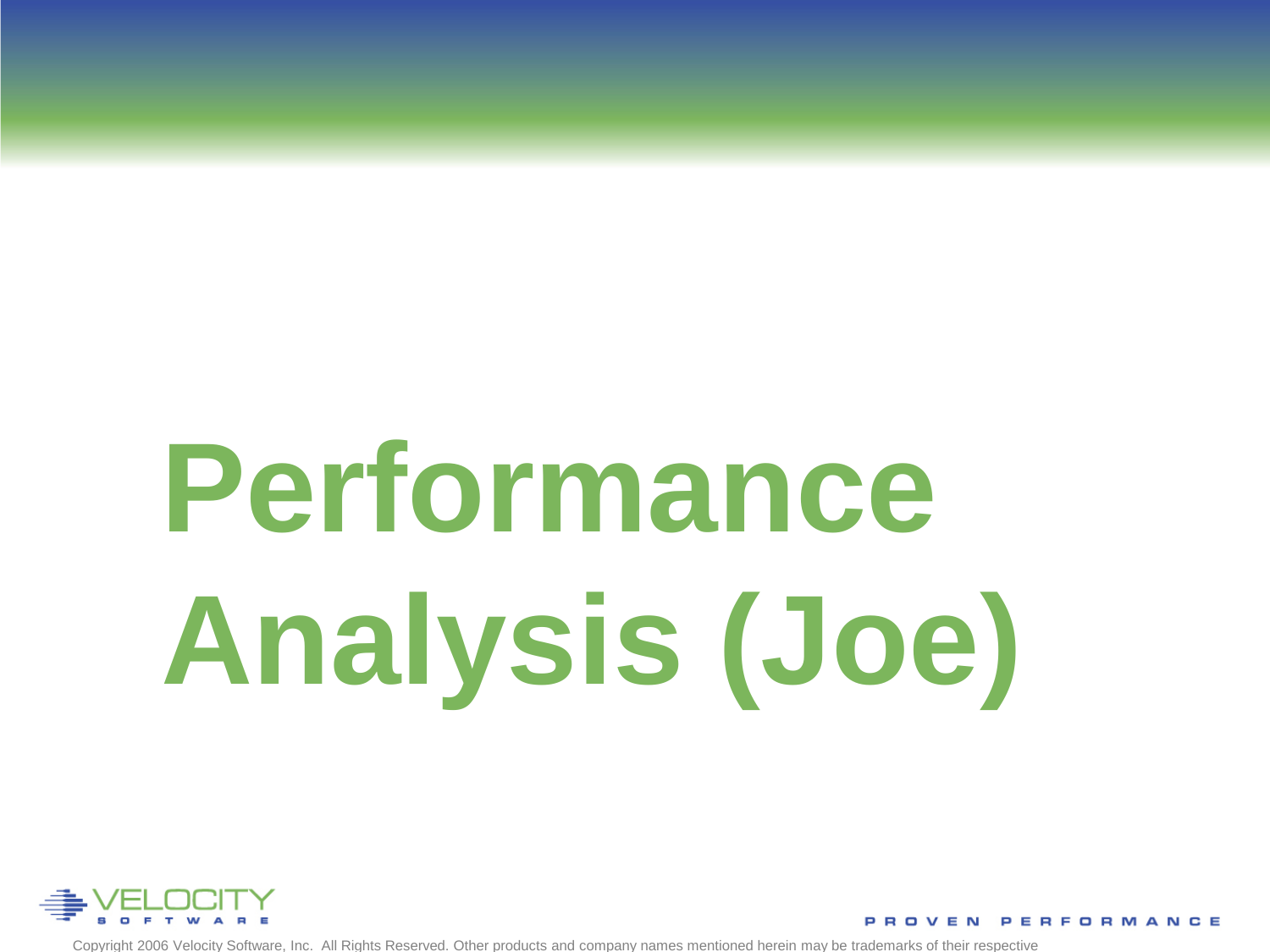# **Performance Analysis (Joe)**



Copyright 2006 Velocity Software, Inc. All Rights Reserved. Other products and company names mentioned herein may be trademarks of their respective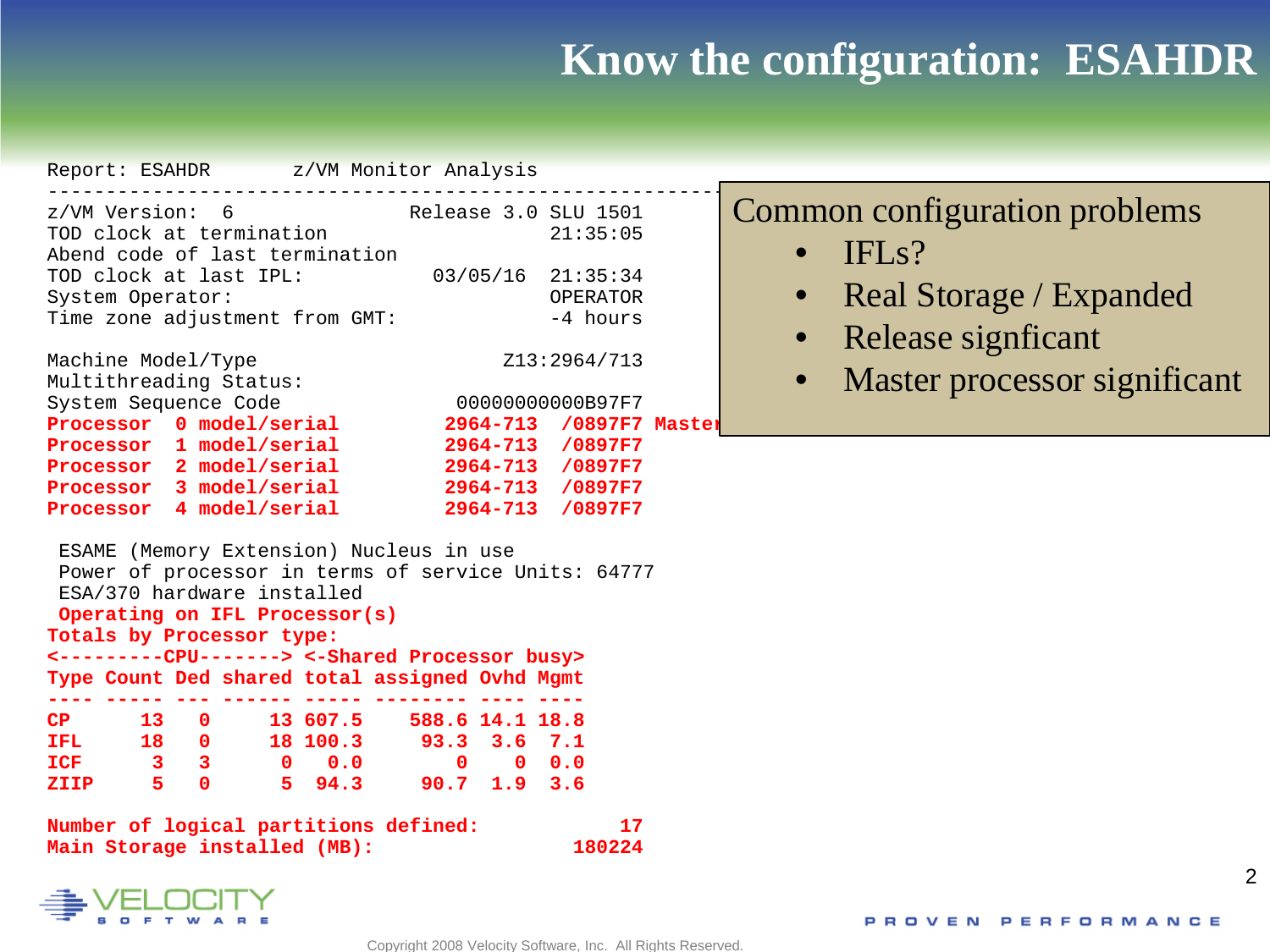## **Know the configuration: ESAHDR**

| Report: ESAHDR z/VM Monitor Analysis                                                                                                                          |                                   |                                                                             |                                                                              |  |
|---------------------------------------------------------------------------------------------------------------------------------------------------------------|-----------------------------------|-----------------------------------------------------------------------------|------------------------------------------------------------------------------|--|
| z/VM Version: 6 Release 3.0 SLU 1501<br>TOD clock at termination<br>Abend code of last termination                                                            |                                   |                                                                             | 21:35:05                                                                     |  |
| TOD clock at last IPL:<br>System Operator:<br>Time zone adjustment from GMT:                                                                                  |                                   |                                                                             | $03/05/16$ 21:35:34<br>OPERATOR<br>-4 hours                                  |  |
| Machine Model/Type<br>Multithreading Status:                                                                                                                  |                                   |                                                                             | Z13:2964/713                                                                 |  |
| System Sequence Code<br>Processor 0 model/serial                                                                                                              |                                   |                                                                             | 00000000000B97F7<br>2964-713 /0897F7 Master                                  |  |
| Processor 1 model/serial<br>Processor 2 model/serial<br>Processor 3 model/serial<br>Processor 4 model/serial                                                  |                                   |                                                                             | 2964-713 /0897F7<br>2964-713 /0897F7<br>2964-713 /0897F7<br>2964-713 /0897F7 |  |
| ESAME (Memory Extension) Nucleus in use<br>Power of processor in terms of service Units: 64777<br>ESA/370 hardware installed<br>Operating on IFL Processor(s) |                                   |                                                                             |                                                                              |  |
| Totals by Processor type:<br><---------CPU-------> <-Shared Processor busy>                                                                                   |                                   |                                                                             |                                                                              |  |
| Type Count Ded shared total assigned Ovhd Mgmt                                                                                                                |                                   |                                                                             |                                                                              |  |
| CP 13 0 13 607.5 588.6 14.1 18.8<br>IFL 18 0 18 100.3 93.3 3.6 7.1<br>$ICF$ 3 3<br>ZIIP 5 0                                                                   | $0 \t 0.0$<br>5 94.3 90.7 1.9 3.6 | $\begin{array}{ccc} & & 0 & \hline & 0 & \hline & 0.0 & \hline \end{array}$ |                                                                              |  |
|                                                                                                                                                               |                                   |                                                                             |                                                                              |  |

**Number of logical partitions defined: 17 Main Storage installed (MB): 180224** 



## Common configuration problems

- IFLs?
- Real Storage / Expanded
- Release signficant
- Master processor significant

 $\mathfrak{D}$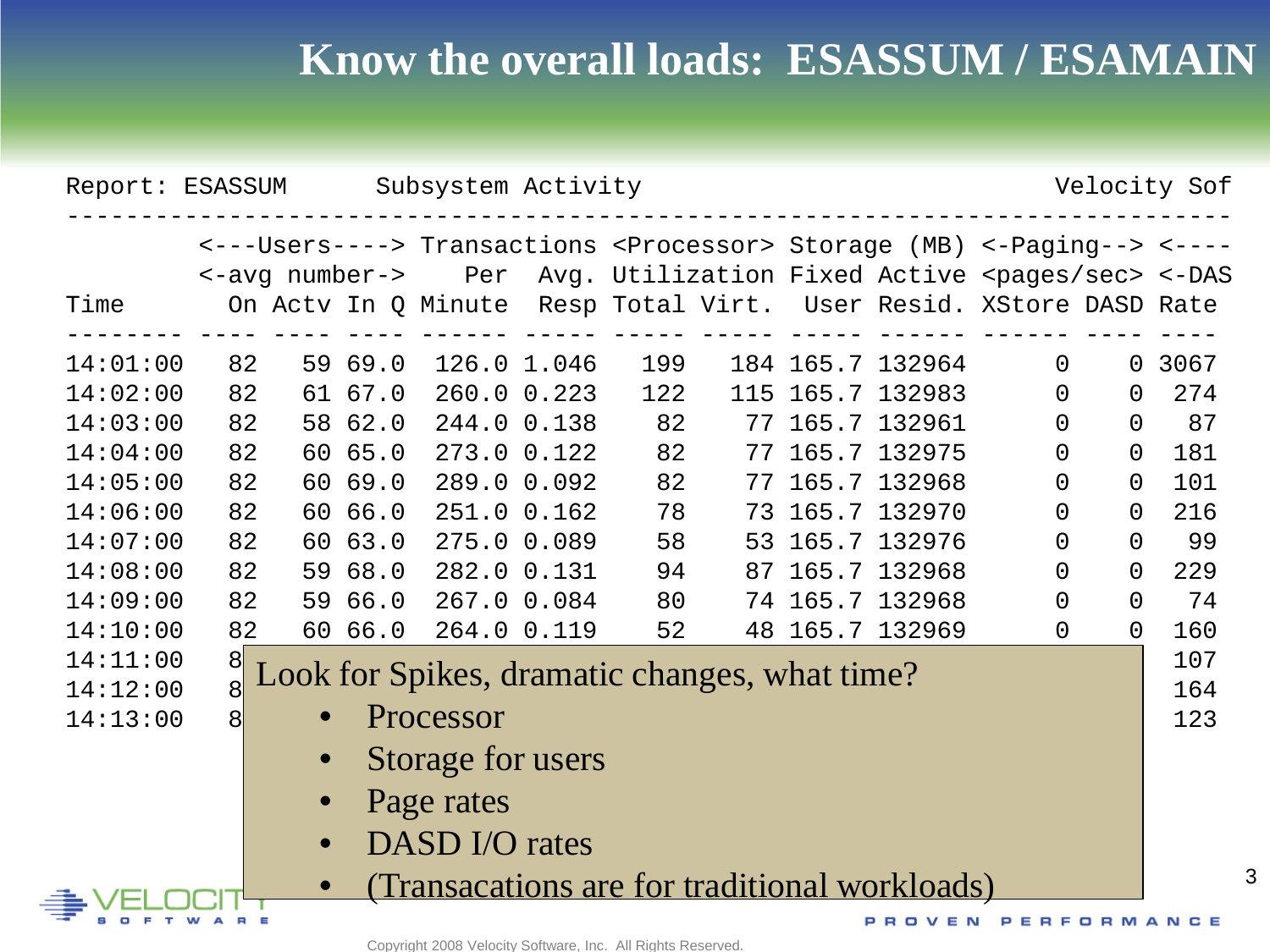# **Know the overall loads: ESASSUM / ESAMAIN**

| Subsystem Activity<br>Velocity Sof<br>Report: ESASSUM |                |                |         |                                               |             |     |     |  |                                                                                             |          |                |        |
|-------------------------------------------------------|----------------|----------------|---------|-----------------------------------------------|-------------|-----|-----|--|---------------------------------------------------------------------------------------------|----------|----------------|--------|
|                                                       |                |                |         |                                               |             |     |     |  | <---Users----> Transactions <processor> Storage (MB) &lt;-Paging--&gt; &lt;----</processor> |          |                |        |
|                                                       |                | <-avg number-> |         |                                               |             |     |     |  | Per Avg. Utilization Fixed Active <pages sec=""> &lt;-DAS</pages>                           |          |                |        |
| Time                                                  |                |                |         |                                               |             |     |     |  | On Actv In Q Minute Resp Total Virt. User Resid. XStore DASD Rate                           |          |                |        |
| 14:01:00                                              | 82             |                | 59 69.0 |                                               | 126.0 1.046 | 199 |     |  | 184 165.7 132964                                                                            | $\Omega$ |                | 0 3067 |
| 14:02:00                                              | 82             |                | 61 67.0 | 260.0 0.223                                   |             | 122 | 115 |  | 165.7 132983                                                                                | $\Omega$ | 0              | 274    |
| 14:03:00                                              | 82             |                | 58 62.0 | 244.0 0.138                                   |             | 82  | 77  |  | 165.7 132961                                                                                | $\Omega$ | $\Omega$       | 87     |
| 14:04:00                                              | 82             |                | 60 65.0 | 273.0 0.122                                   |             | 82  | 77  |  | 165.7 132975                                                                                | 0        | $\Omega$       | 181    |
| 14:05:00                                              | 82             |                | 60 69.0 | 289.0 0.092                                   |             | 82  | 77  |  | 165.7 132968                                                                                | $\Omega$ | $\overline{0}$ | 101    |
| 14:06:00                                              | 82             |                | 60 66.0 | 251.0 0.162                                   |             | 78  | 73  |  | 165.7 132970                                                                                | $\Omega$ | $\Omega$       | 216    |
| 14:07:00                                              | 82             |                | 60 63.0 | 275.0 0.089                                   |             | 58  | 53  |  | 165.7 132976                                                                                | 0        | $\Omega$       | 99     |
| 14:08:00                                              | 82             |                | 59 68.0 | 282.0 0.131                                   |             | 94  | 87  |  | 165.7 132968                                                                                | 0        | $\Omega$       | 229    |
| 14:09:00                                              | 82             | 59             | 66.0    | 267.0 0.084                                   |             | 80  | 74  |  | 165.7 132968                                                                                | 0        | $\Omega$       | 74     |
| 14:10:00                                              | 82             |                | 60 66.0 | 264.0 0.119                                   |             | 52  |     |  | 48 165.7 132969                                                                             | 0        | $\overline{0}$ | 160    |
| 14:11:00                                              | $\frac{8}{8}$  |                |         | Look for Spikes, dramatic changes, what time? |             |     |     |  |                                                                                             |          |                | 107    |
| 14:12:00                                              |                |                |         |                                               |             |     |     |  |                                                                                             |          |                | 164    |
| 14:13:00                                              | 8 <sup>1</sup> |                |         | Processor                                     |             |     |     |  |                                                                                             |          |                | 123    |
|                                                       |                |                |         | Storage for users                             |             |     |     |  |                                                                                             |          |                |        |
|                                                       |                |                |         | Page rates                                    |             |     |     |  |                                                                                             |          |                |        |
|                                                       |                | $\bullet$      |         | DASD I/O rates                                |             |     |     |  |                                                                                             |          |                |        |
|                                                       |                |                |         |                                               |             |     |     |  | (Transacations are for traditional workloads)                                               |          |                |        |

A R

PROVEN PERFORMANCE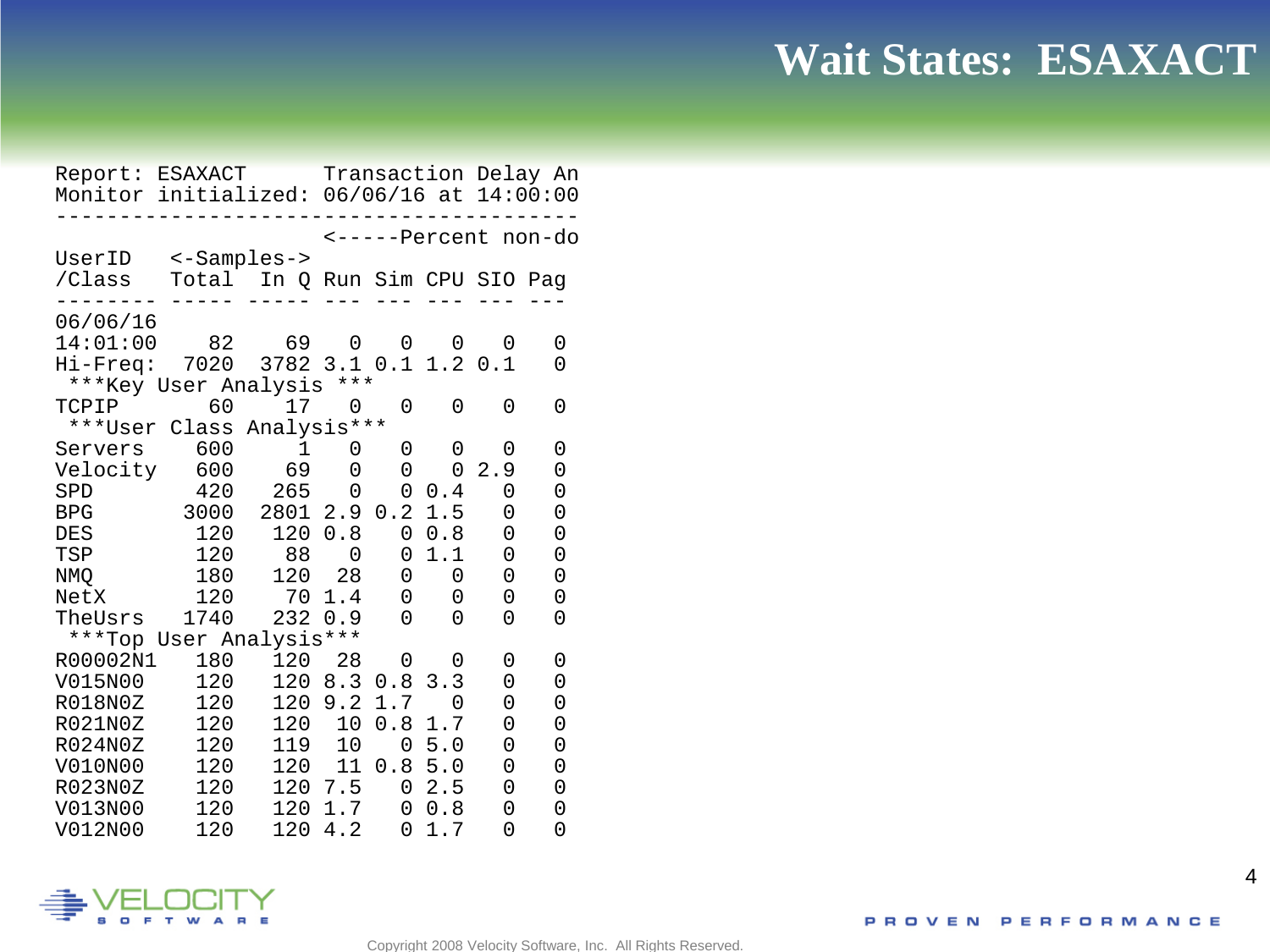## **Wait States: ESAXACT**

Report: ESAXACT Transaction Delay An Monitor initialized: 06/06/16 at 14:00:00 ----------------------------------------- <-----Percent non-do UserID <-Samples-><br>/Class Total In O Total In O Run Sim CPU SIO Pag -------- ----- ----- --- --- --- --- ---  $06/06/16$ <br> $14:01:00$  82 14:01:00 82 69 0 0 0 0 0 Hi-Freq: 7020 3782 3.1 0.1 1.2 0.1 0 \*\*\*Key User Analysis \*\*\*<br>TCPIP 60 17 0 TCPIP 60 17 0 0 0 0 0 \*\*\*User Class Analysis\*\*\* Servers 600 1 0 0 0 0 0<br>Velocity 600 69 0 0 0 2.9 0 Velocity 600 69 0 0 0 2.9 0<br>SPD 420 265 0 0 0.4 0 0 SPD 420 265 0 0 0.4 0 0 BPG 3000 2801 2.9 0.2 1.5 0 0 DES 120 120 0.8 0 0.8 0 0<br>TSP 120 88 0 0 1.1 0 0 TSP 120 88 0 0 1.1 0 0 NMQ 180 120 28 0 0 0 0<br>NetX 120 70 1.4 0 0 0 0 NetX 120 70 1.4 0 0 0 0<br>TheUsrs 1740 232 0.9 0 0 0 0  $2320.9$ \*\*\*Top User Analysis\*\*\* R00002N1 180 120 28 0 0 0 0 V015N00 120 120 8.3 0.8 3.3 0 0 R018N0Z 120 120 9.2 1.7 0 0 0<br>R021N0Z 120 120 10 0.8 1.7 0 0 120 120 10 0.8 1.7 0 0<br>120 119 10 0 5.0 0 0 R024N0Z 120 119 10 05.0 0 0<br>V010N00 120 120 11 0.8 5.0 0 0 120 120 11 0.8 5.0 0 0<br>120 120 7.5 0 2.5 0 0 R023N0Z 120 120 7.5 0 2.5 0 0<br>V013N00 120 120 1.7 0 0.8 0 0 V013N00 120 120 1.7 0 0.8 0 0  $1204.2$ 

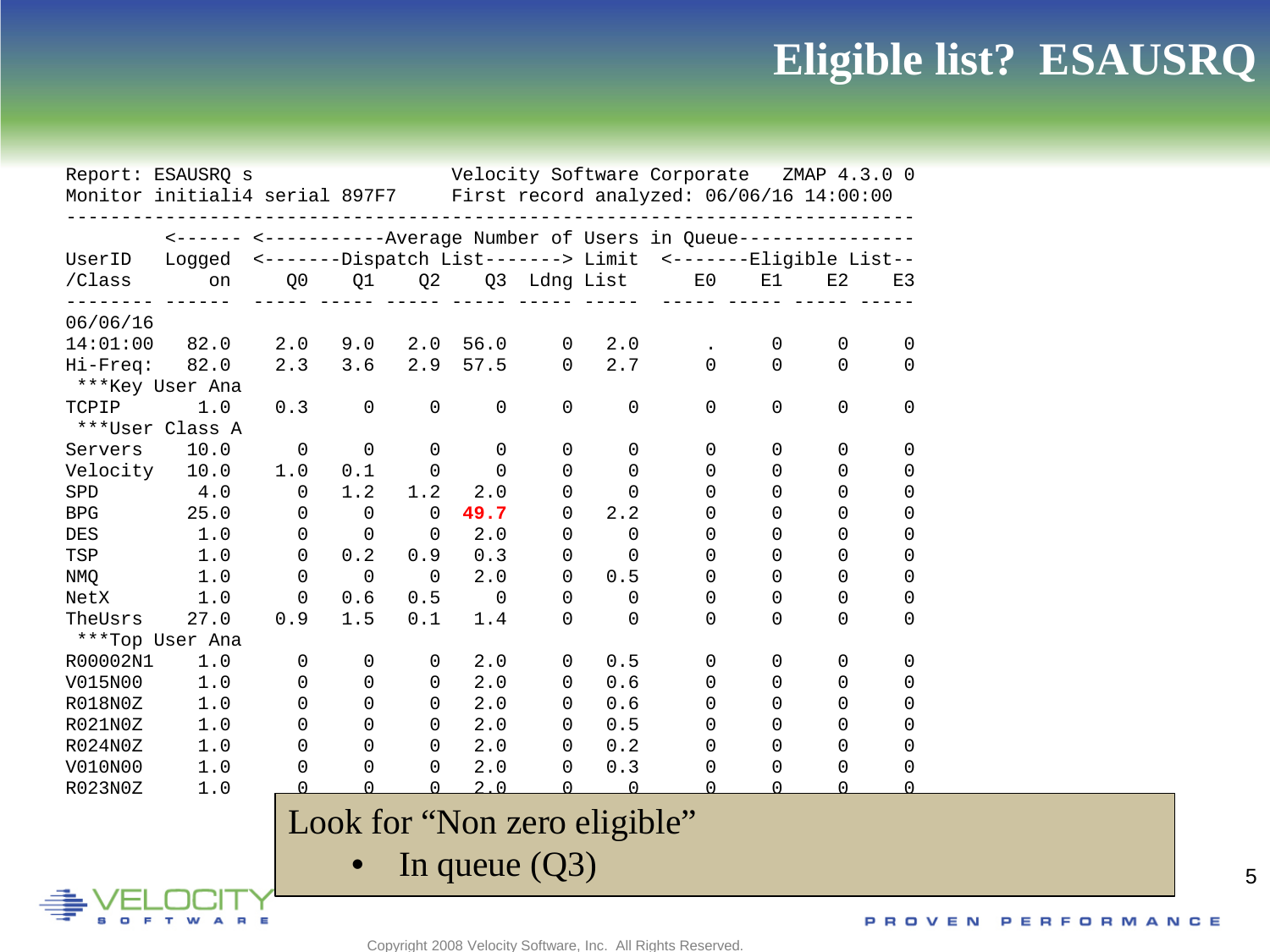# **Eligible list? ESAUSRQ**

|               | Report: ESAUSRQ s                                                       |             |             |          |                 |          |                              | Velocity Software Corporate ZMAP 4.3.0 0                             |              |          |          |
|---------------|-------------------------------------------------------------------------|-------------|-------------|----------|-----------------|----------|------------------------------|----------------------------------------------------------------------|--------------|----------|----------|
|               | Monitor initiali4 serial 897F7 First record analyzed: 06/06/16 14:00:00 |             |             |          |                 |          |                              |                                                                      |              |          |          |
|               |                                                                         |             |             |          |                 |          |                              | <------ <--------------Average Number of Users in Queue------------- |              |          |          |
| UserID        | Logged                                                                  |             |             |          |                 |          |                              | <-------Dispatch List-------> Limit <-------Eligible List--          |              |          |          |
| /Class        | on                                                                      | Q0          | Q1          | Q2       |                 |          | Q3 Ldng List                 | E0                                                                   | E1           | E2       | E3       |
|               |                                                                         |             |             |          |                 |          |                              |                                                                      |              |          |          |
| 06/06/16      |                                                                         |             |             |          |                 |          |                              |                                                                      |              |          |          |
| 14:01:00      | 82.0                                                                    | 2.0         | 9.0         | 2.0      | 56.0            | 0        | 2.0                          |                                                                      | $\mathbf 0$  | 0        | 0        |
| Hi-Freq: 82.0 |                                                                         | 2.3         | 3.6         | 2.9      | 57.5            | 0        | 2.7                          | $\Omega$                                                             | 0            | $\Omega$ | $\Omega$ |
|               | ***Key User Ana                                                         |             |             |          |                 |          |                              |                                                                      |              |          |          |
| TCPIP         | 1.0                                                                     | 0.3         | $\mathbf 0$ | 0        | 0               | 0        | 0                            | 0                                                                    | 0            | $\Omega$ | $\Omega$ |
|               | ***User Class A                                                         |             |             |          |                 |          |                              |                                                                      |              |          |          |
| Servers       | 10.0                                                                    | $\mathbf 0$ | $\Omega$    | 0        | 0               | 0        | 0                            | $\mathbf 0$                                                          | 0            | 0        | 0        |
| Velocity      | 10.0                                                                    | 1.0         | 0.1         | 0        | 0               | $\Omega$ | $\Omega$                     | $\mathbf 0$                                                          | 0            | 0        | 0        |
| SPD           | 4.0                                                                     | 0           | 1.2         | 1.2      | 2.0             | 0        | $\Omega$                     | 0                                                                    | 0            | 0        | 0        |
| <b>BPG</b>    | 25.0                                                                    | 0           | $\Omega$    | $\Omega$ | 49.7            | 0        | 2.2                          | 0                                                                    | 0            | 0        | 0        |
| <b>DES</b>    | 1.0                                                                     | 0           | 0           | 0        | 2.0             | 0        | $\Omega$                     | 0                                                                    | 0            | 0        | 0        |
| TSP           | 1.0                                                                     | 0           | 0.2         | 0.9      | 0.3             | 0        | 0                            | 0                                                                    | 0            | 0        | 0        |
| NMQ           | 1.0                                                                     | 0           | $\Omega$    | $\Omega$ | 2.0             | 0        | 0.5                          | 0                                                                    | 0            | 0        | 0        |
| NetX          | $1.0$                                                                   | $\Omega$    | 0.6         | 0.5      | 0               | 0        | 0                            | 0                                                                    | 0            | 0        | 0        |
| TheUsrs       | 27.0                                                                    | 0.9         | 1.5         | 0.1      | 1.4             | $\Omega$ | 0                            | <sup>0</sup>                                                         | 0            | $\Omega$ | 0        |
|               | ***Top User Ana                                                         |             |             |          |                 |          |                              |                                                                      |              |          |          |
| R00002N1      | 1.0                                                                     | 0           | $\mathbf 0$ | 0        | 2.0             | 0        | 0.5                          | 0                                                                    | 0            | 0        | 0        |
| V015N00       | 1.0                                                                     | 0           | 0           | 0        | 2.0             | 0        | 0.6                          | 0                                                                    | 0            | 0        | 0        |
| R018N0Z       | 1.0                                                                     | 0           | 0           | 0        | 2.0             | 0        | 0.6                          | 0                                                                    | 0            | 0        | 0        |
| R021N0Z       | 1.0                                                                     | 0           | 0           | 0        | 2.0             | $\Omega$ | 0.5                          | 0                                                                    | 0            | 0        | 0        |
| R024N0Z       | 1.0                                                                     | 0           | 0           | 0        | 2.0             | 0        | 0.2                          | 0                                                                    | 0            | 0        | 0        |
| V010N00       | 1.0                                                                     | 0           | 0           | 0        | 2.0             | 0        | 0.3                          | 0                                                                    | 0            | $\Omega$ | $\Omega$ |
| R023N0Z       | 1.0                                                                     | U           | $\cap$      | U        | 2.0             | $\cap$   | $\cap$                       |                                                                      | <sup>n</sup> | ∩        | U        |
|               |                                                                         |             |             |          |                 |          |                              |                                                                      |              |          |          |
|               |                                                                         |             |             |          |                 |          | Look for "Non zero eligible" |                                                                      |              |          |          |
|               |                                                                         |             |             |          |                 |          |                              |                                                                      |              |          |          |
|               |                                                                         |             |             |          | In queue $(Q3)$ |          |                              |                                                                      |              |          |          |
|               |                                                                         |             |             |          |                 |          |                              |                                                                      |              |          |          |
|               |                                                                         |             |             |          |                 |          |                              |                                                                      |              |          | PROVE    |

Copyright 2008 Velocity Software, Inc. All Rights Reserved.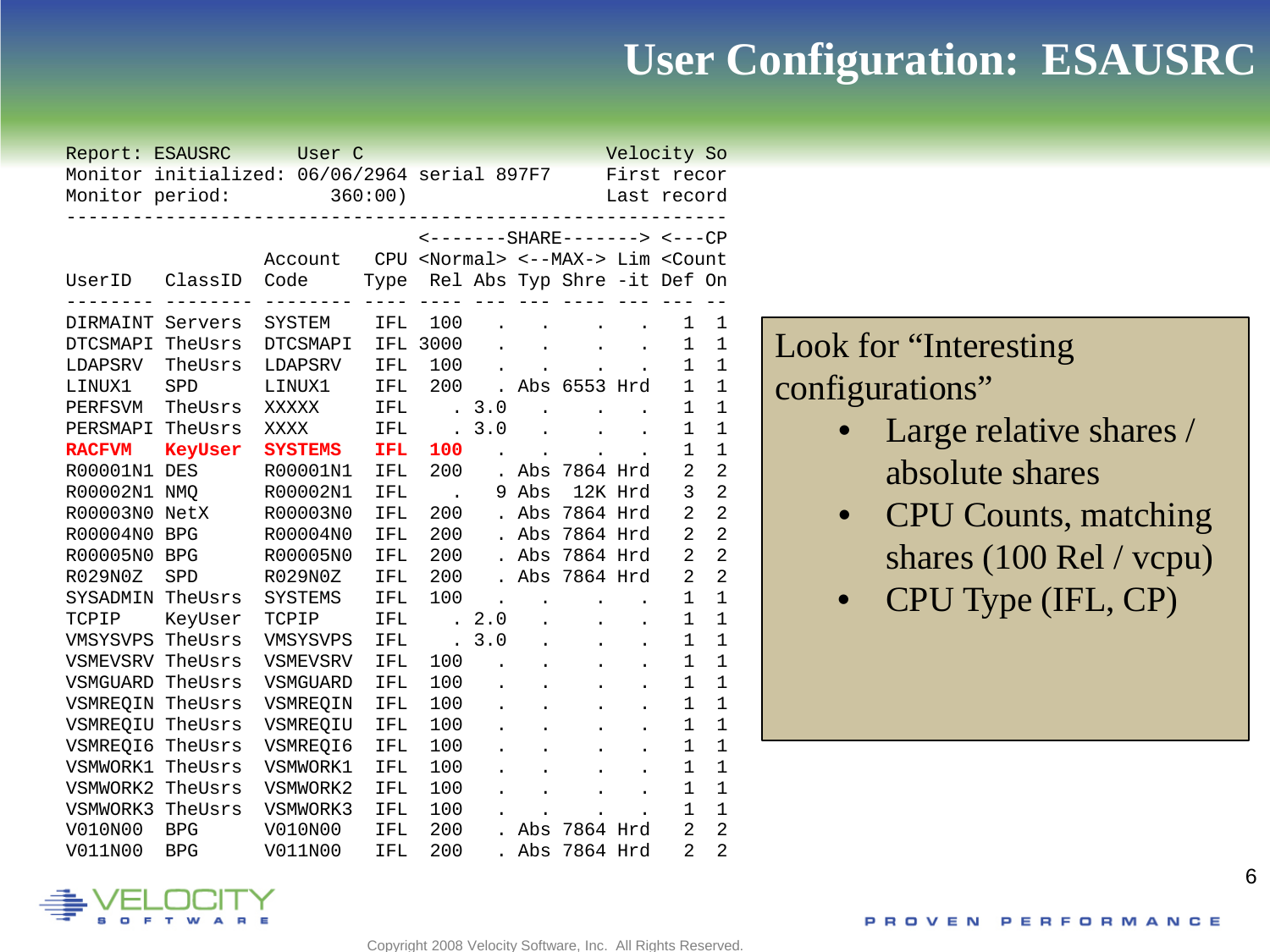## **User Configuration: ESAUSRC**

| Report: ESAUSRC  |                | User C                                       |         |                                                                                                                        |                      |           |                              | Velocity So          |                |                |
|------------------|----------------|----------------------------------------------|---------|------------------------------------------------------------------------------------------------------------------------|----------------------|-----------|------------------------------|----------------------|----------------|----------------|
|                  |                | Monitor initialized: 06/06/2964 serial 897F7 |         |                                                                                                                        |                      |           |                              | First recor          |                |                |
| Monitor period:  |                |                                              | 360:00) |                                                                                                                        |                      |           |                              | Last record          |                |                |
|                  |                |                                              |         |                                                                                                                        |                      |           |                              |                      |                |                |
|                  |                |                                              |         |                                                                                                                        |                      |           | <-------SHARE-------> <---CP |                      |                |                |
|                  |                | Account                                      |         | CPU <normal> &lt;--MAX-&gt; Lim <count< td=""><td></td><td></td><td></td><td></td><td></td><td></td></count<></normal> |                      |           |                              |                      |                |                |
| UserID           | ClassID        | Code                                         |         | Type Rel Abs Typ Shre -it Def On                                                                                       |                      |           |                              |                      |                |                |
| DIRMAINT Servers |                | SYSTEM                                       | IFL     | 100                                                                                                                    |                      |           |                              |                      | 1              | 1              |
| DTCSMAPI         | TheUsrs        | DTCSMAPI                                     | IFL     | 3000                                                                                                                   |                      |           |                              | $\bullet$            | 1              | $\mathbf 1$    |
| LDAPSRV          | TheUsrs        | LDAPSRV                                      | IFL     | 100                                                                                                                    |                      |           |                              |                      | 1              | $\mathbf 1$    |
| LINUX1           | SPD            | LINUX1                                       | IFL     | 200                                                                                                                    | $\ddot{\phantom{a}}$ |           | Abs 6553 Hrd                 |                      | 1              | $\mathbf 1$    |
| PERFSVM          | TheUsrs        | XXXXX                                        | IFL     | $\ddot{\phantom{a}}$                                                                                                   | 3.0                  |           |                              |                      | $\mathbf 1$    | $\mathbf 1$    |
| PERSMAPI         | TheUsrs        | <b>XXXX</b>                                  | IFL     | $\ddot{\phantom{a}}$                                                                                                   | $3.0$                |           |                              |                      | $\mathbf 1$    | $\mathbf{1}$   |
| <b>RACFVM</b>    | <b>KeyUser</b> | <b>SYSTEMS</b>                               | IFL     | 100                                                                                                                    |                      | $\bullet$ |                              |                      | $\mathbf 1$    | $\mathbf 1$    |
| R00001N1         | <b>DES</b>     | R00001N1                                     | IFL     | 200                                                                                                                    |                      | Abs       | 7864 Hrd                     |                      | 2              | $\overline{2}$ |
| R00002N1         | <b>NMO</b>     | R00002N1                                     | IFL     |                                                                                                                        | 9                    | Abs       |                              | 12K Hrd              | 3              | $\overline{2}$ |
| R00003N0         | NetX           | R00003N0                                     | IFL     | 200                                                                                                                    |                      |           | Abs 7864 Hrd                 |                      | 2              | $\overline{2}$ |
| R00004N0         | <b>BPG</b>     | R00004N0                                     | IFL     | 200                                                                                                                    |                      | Abs       | 7864 Hrd                     |                      | $\overline{2}$ | $\overline{2}$ |
| R00005N0         | <b>BPG</b>     | R00005N0                                     | IFL     | 200                                                                                                                    |                      | Abs       | 7864 Hrd                     |                      | $\overline{2}$ | $\overline{2}$ |
| R029N0Z          | SPD            | R029N0Z                                      | IFL     | 200                                                                                                                    |                      | Abs       | 7864 Hrd                     |                      | $\overline{2}$ | $\overline{2}$ |
| SYSADMIN         | TheUsrs        | <b>SYSTEMS</b>                               | IFL     | 100                                                                                                                    |                      |           |                              |                      | 1              | $\mathbf{1}$   |
| TCPIP            | KeyUser        | TCPIP                                        | IFL     | $\ddot{\phantom{0}}$                                                                                                   | 2.0                  |           |                              | $\ddot{\phantom{0}}$ | 1              | $\mathbf 1$    |
| VMSYSVPS         | TheUsrs        | VMSYSVPS                                     | IFL     | $\ddot{\phantom{a}}$                                                                                                   | $3.0$                |           |                              | $\ddot{\phantom{0}}$ | $\mathbf 1$    | $\mathbf{1}$   |
| VSMEVSRV         | TheUsrs        | <b>VSMEVSRV</b>                              | IFL     | 100                                                                                                                    |                      |           |                              | $\ddot{\phantom{0}}$ | $\mathbf 1$    | $\mathbf 1$    |
| <b>VSMGUARD</b>  | TheUsrs        | VSMGUARD                                     | IFL     | 100                                                                                                                    |                      |           |                              | $\ddot{\phantom{0}}$ | $\mathbf 1$    | $\mathbf{1}$   |
| VSMREOIN         | TheUsrs        | VSMREQIN                                     | IFL     | 100                                                                                                                    |                      |           |                              | $\ddot{\phantom{0}}$ | $\mathbf 1$    | $\mathbf{1}$   |
| VSMREQIU         | TheUsrs        | VSMREOIU                                     | IFL     | 100                                                                                                                    |                      |           |                              |                      | $\mathbf 1$    | $\mathbf{1}$   |
| VSMREQI6         | TheUsrs        | VSMREQI6                                     | IFL     | 100                                                                                                                    |                      |           |                              |                      | $\mathbf{1}$   | $\mathbf{1}$   |
| VSMWORK1         | TheUsrs        | VSMWORK1                                     | IFL     | 100                                                                                                                    |                      |           |                              |                      | $\mathbf{1}$   | $\mathbf{1}$   |
| VSMWORK2         | TheUsrs        | VSMWORK2                                     | IFL     | 100                                                                                                                    |                      |           |                              |                      | $\mathbf{1}$   | $\mathbf{1}$   |
| VSMWORK3         | TheUsrs        | VSMWORK3                                     | IFL     | 100                                                                                                                    |                      | $\bullet$ |                              |                      | $\mathbf 1$    | $\mathbf{1}$   |
| V010N00          | <b>BPG</b>     | V010N00                                      | IFL     | 200                                                                                                                    |                      | Abs       | 7864 Hrd                     |                      | 2              | $\overline{2}$ |
| V011N00          | <b>BPG</b>     | V011N00                                      | IFL     | 200                                                                                                                    |                      | Abs       | 7864 Hrd                     |                      | $\overline{2}$ | $\overline{2}$ |

## Look for "Interesting configurations"

- Large relative shares / absolute shares
- CPU Counts, matching shares (100 Rel / vcpu)
- CPU Type (IFL, CP)

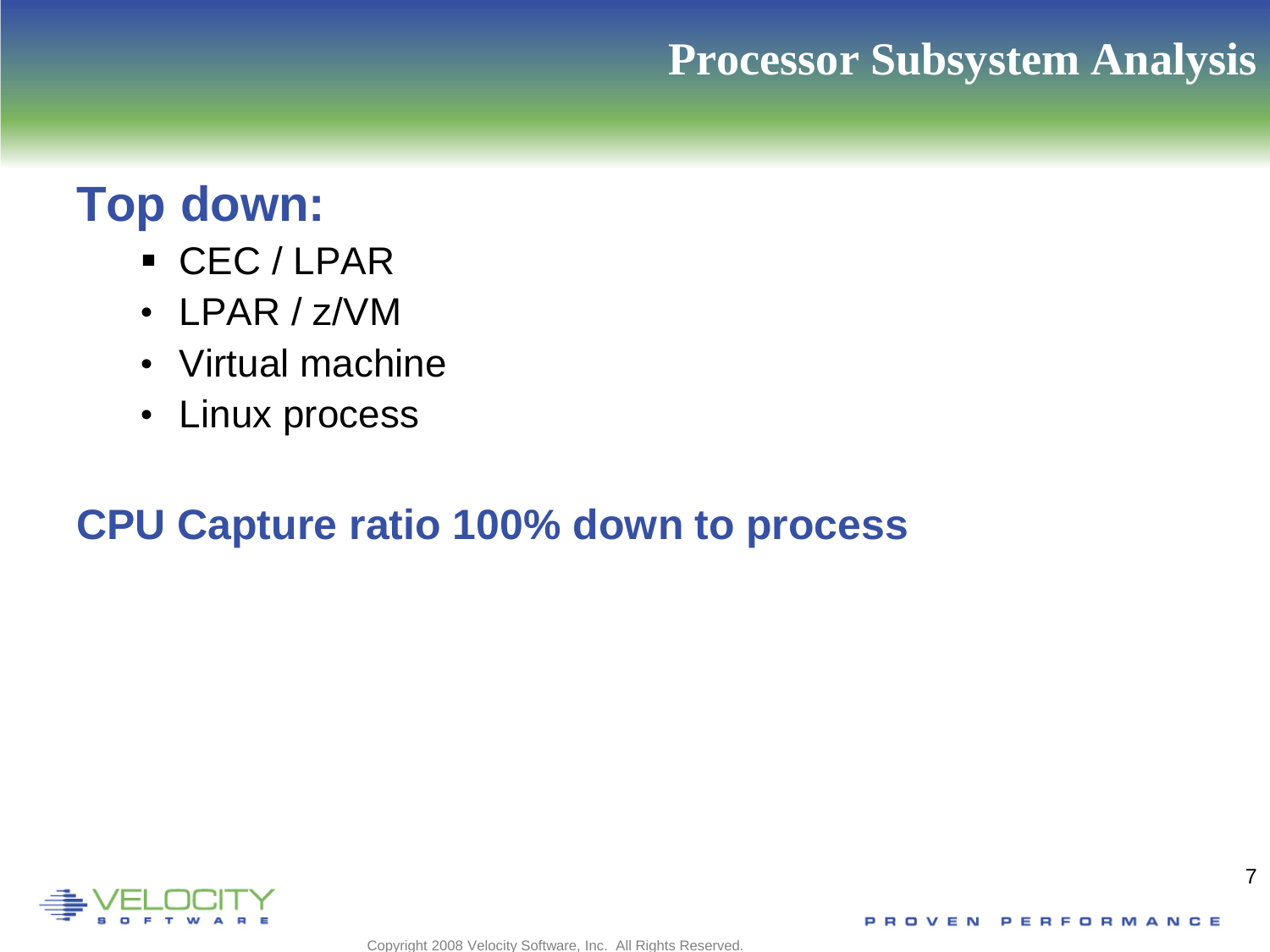## **Processor Subsystem Analysis**

# **Top down:**

- CEC / LPAR
- LPAR / z/VM
- Virtual machine
- Linux process

## **CPU Capture ratio 100% down to process**

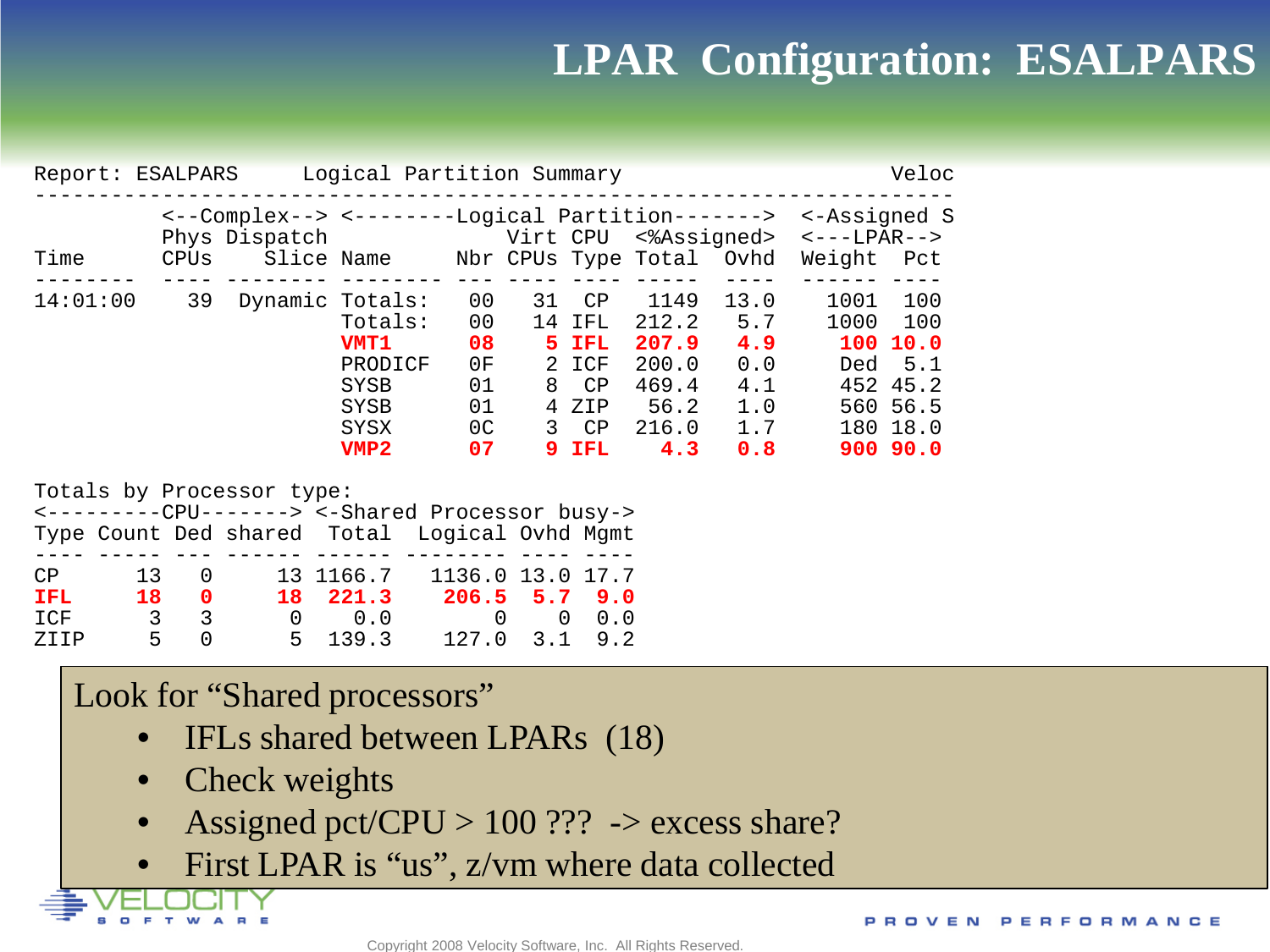## **LPAR Configuration: ESALPARS**

| Report:  | Logical Partition Summary<br>Veloc<br>ESALPARS |                                                                                 |                                                                   |                                                                      |                                      |                                                                 |                                                                  |                                                       |                                         |                                                                               |  |
|----------|------------------------------------------------|---------------------------------------------------------------------------------|-------------------------------------------------------------------|----------------------------------------------------------------------|--------------------------------------|-----------------------------------------------------------------|------------------------------------------------------------------|-------------------------------------------------------|-----------------------------------------|-------------------------------------------------------------------------------|--|
| Time     | CPUs                                           | <--Complex--> <--------Logical Partition-------><br>Phys Dispatch<br>Slice Name |                                                                   |                                                                      |                                      |                                                                 | Virt CPU <%Assigned><br>Nbr CPUs Type Total                      | Ovhd                                                  | <-Assigned S<br>$<-$ -LPAR--><br>Weight | Pct                                                                           |  |
| 14:01:00 | 39                                             | Dynamic Totals:                                                                 | Totals:<br><b>VMT1</b><br>PRODICF<br>SYSB<br>SYSB<br>SYSX<br>VMP2 | 0 <sub>0</sub><br>00<br>08<br>0F<br>01<br>01<br>0 <sup>C</sup><br>07 | 31<br>14<br>5.<br>2.<br>8<br>4<br>3. | CP<br>IFL<br><b>IFL</b><br>ICF<br>CP<br>ZIP<br>CP<br><b>IFL</b> | 1149<br>212.2<br>207.9<br>200.0<br>469.4<br>56.2<br>216.0<br>4.3 | 13.0<br>5.7<br>4.9<br>0.0<br>4.1<br>1.0<br>1.7<br>0.8 | 1001<br>1000<br>Ded                     | 100<br>100<br>100 10.0<br>5.1<br>452 45.2<br>560 56.5<br>180 18.0<br>900 90.0 |  |

Totals by Processor type:

|      |    |                         |                | <---------CPU-------> <-Shared Processor busy->      |  |
|------|----|-------------------------|----------------|------------------------------------------------------|--|
|      |    |                         |                | Type Count Ded shared Total Logical Ovhd Mgmt        |  |
|      |    |                         |                |                                                      |  |
| CP   |    | $13 \qquad 0$           | 13 1166.7      | 1136.0 13.0 17.7                                     |  |
| IFL. | 18 | $\overline{\mathbf{0}}$ | 18 221.3       | $206.5$ 5.7 9.0                                      |  |
| ICF  |    | 3 3                     | $0 \qquad 0.0$ | $\begin{matrix} 0 & 0 & 0 \\ 0 & 0 & 0 \end{matrix}$ |  |
| ZTTP |    | 5 O                     | 5, 139.3       | $127.0$ $3.1$ $9.2$                                  |  |

#### Look for "Shared processors"

- IFLs shared between LPARs (18)
- Check weights
- Assigned pct/CPU > 100 ??? -> excess share?
- First LPAR is "us", z/vm where data collected

PROVEN PERFORMANCE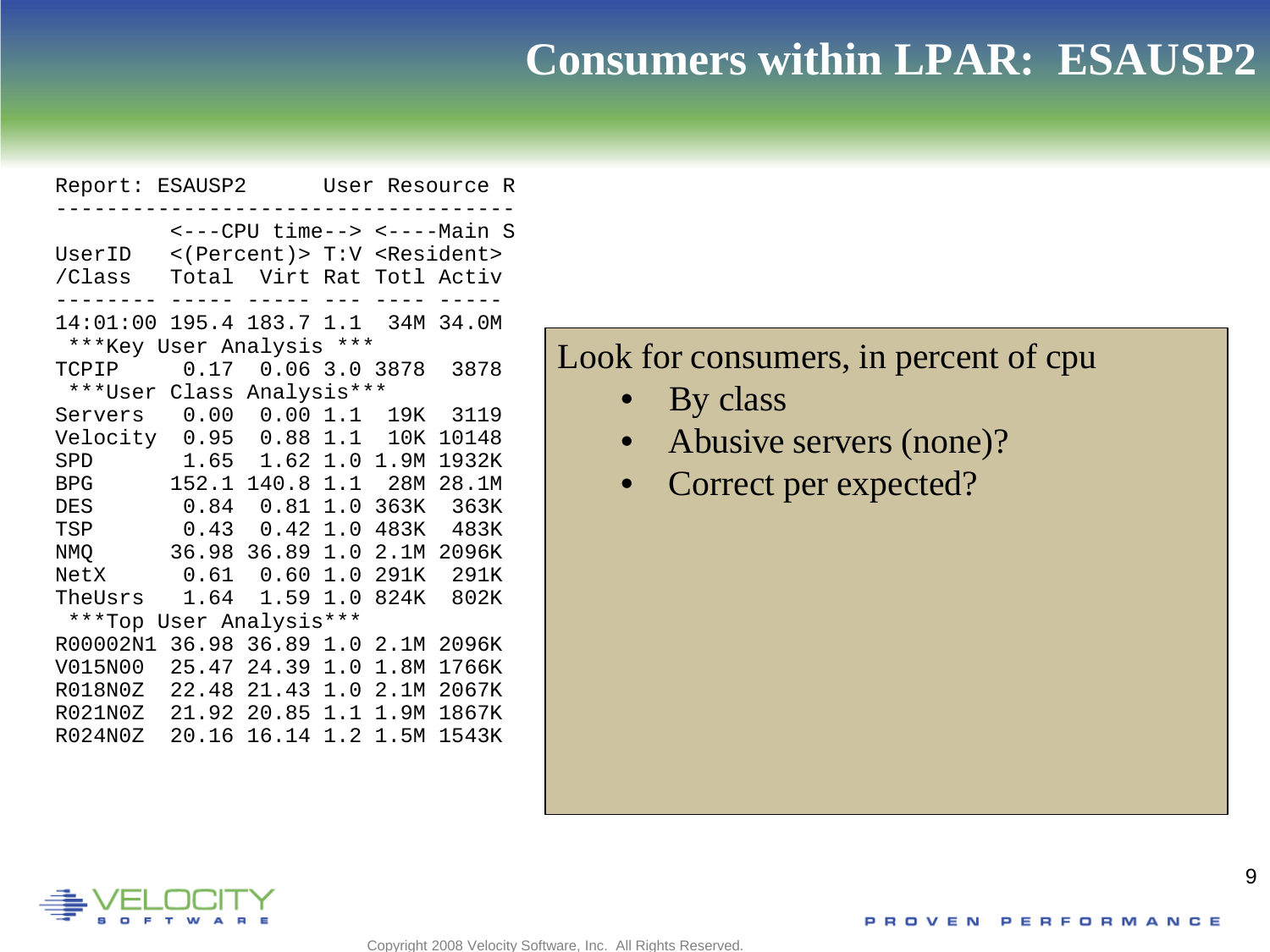## **Consumers within LPAR: ESAUSP2**

```
Report: ESAUSP2 User Resource R
------------------------------------
 <---CPU time--> <----Main S
UserID <(Percent)> T:V <Resident><br>
/Class Total Virt Rat Totl Activ
           Total Virt Rat Totl Activ
-------- ----- ----- --- ---- -----
14:01:00 195.4 183.7 1.1 34M 34.0M 
***Key User Analysis ***<br>TCPIP 0.17 0.06 3.0
          TCPIP 0.17 0.06 3.0 3878 3878 
 ***User Class Analysis*** 
Servers 0.00 0.00 1.1 19K 3119 
Velocity 0.95 0.88 1.1 10K 10148<br>SPD 1.65 1.62 1.0 1.9M 1932K
SPD 1.65 1.62 1.0 1.9M 1932K<br>BPG 152.1 140.8 1.1 28M 28.1M
BPG 152.1 140.8 1.1 28M 28.1M<br>DES 0.84 0.81 1.0 363K 363K
          DES 0.84 0.81 1.0 363K 363K
TSP 0.43 0.42 1.0 483K 483K<br>NMO 36.98 36.89 1.0 2.1M 2096K
NMQ 36.98 36.89 1.0 2.1M 2096K<br>NetX 0.61 0.60 1.0 291K 291K
NetX 0.61 0.60 1.0 291K<br>TheUsrs 1.64 1.59 1.0 824K
           1.64 1.59 1.0 824K 802K
 ***Top User Analysis*** 
R00002N1 36.98 36.89 1.0 2.1M 2096K 
V015N00 25.47 24.39 1.0 1.8M 1766K 
R018N0Z 22.48 21.43 1.0 2.1M 2067K 
R021N0Z 21.92 20.85 1.1 1.9M 1867K 
R024N0Z 20.16 16.14 1.2 1.5M 1543K
```
#### Look for consumers, in percent of cpu

• By class

Copyright 2008 Velocity Software, Inc. All Rights Reserved.

- Abusive servers (none)?
- Correct per expected?

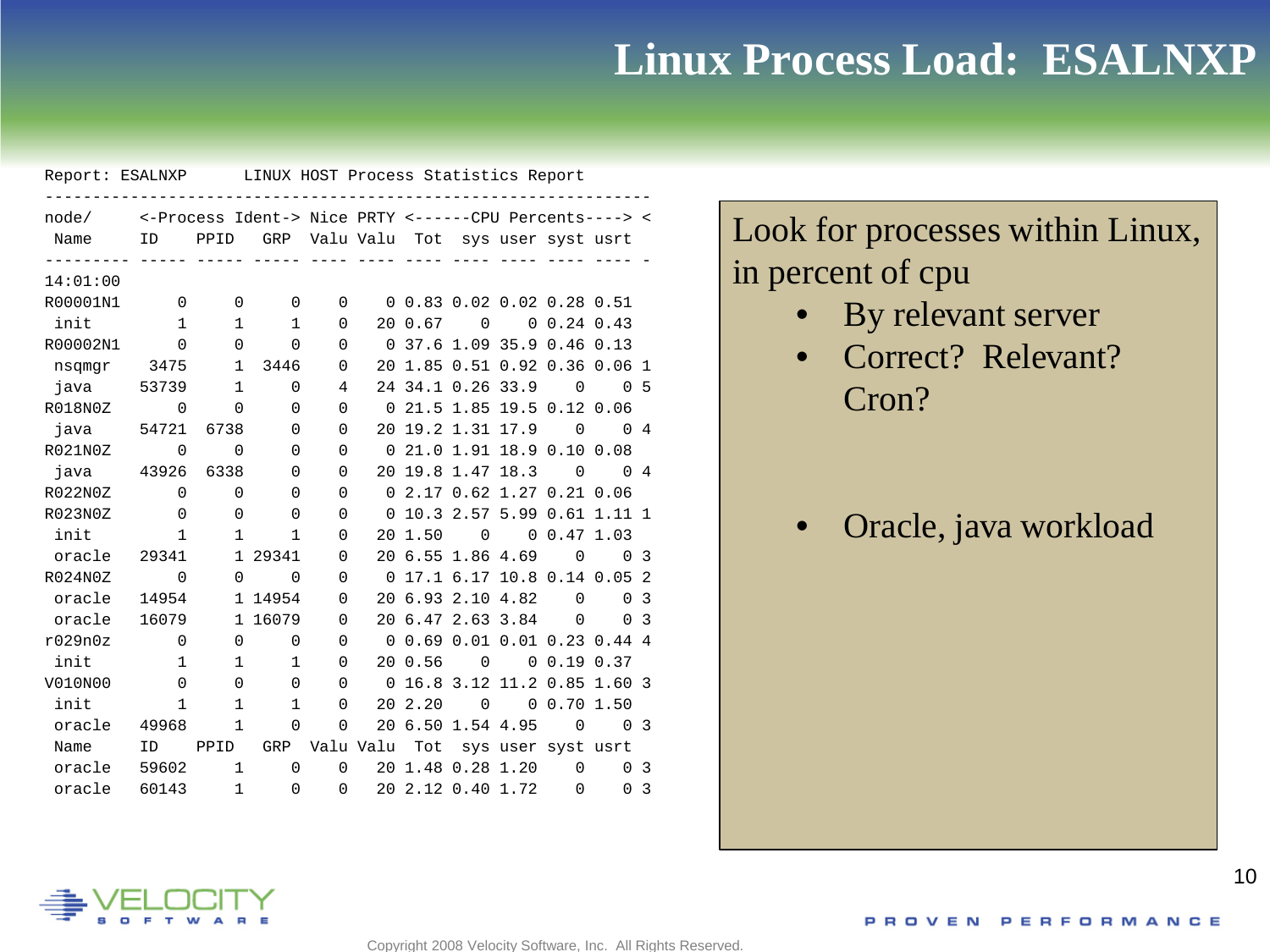## **Linux Process Load: ESALNXP**

| Report: ESALNXP LINUX HOST Process Statistics Report |              |                |                                                        |                |           |                                 |             |                    |                |                                        |                |
|------------------------------------------------------|--------------|----------------|--------------------------------------------------------|----------------|-----------|---------------------------------|-------------|--------------------|----------------|----------------------------------------|----------------|
| node/                                                |              |                | <-Process Ident-> Nice PRTY <------CPU Percents----> < |                |           |                                 |             |                    |                |                                        |                |
| Name                                                 |              |                | ID PPID GRP Valu Valu Tot sys user syst usrt           |                |           |                                 |             |                    |                |                                        |                |
| 14:01:00                                             |              | $=$ $-$        | $- - - - -$                                            |                |           |                                 |             |                    |                |                                        |                |
|                                                      |              |                |                                                        |                |           | 0, 0.83, 0.02, 0.02, 0.28, 0.51 |             |                    |                |                                        |                |
| R00001N1                                             | $\Omega$     | $\mathbf 0$    | $\mathbf 0$                                            | 0              |           |                                 |             |                    |                |                                        |                |
| init                                                 | $\mathbf{1}$ | 1              | 1                                                      | $\Omega$       |           | 20 0.67                         | $\Omega$    |                    | 0, 0.24, 0.43  |                                        |                |
| R00002N1                                             | $\Omega$     | $\mathbf{0}$   | 0                                                      | 0              |           | 0 37.6 1.09 35.9 0.46 0.13      |             |                    |                |                                        |                |
| nsqmqr                                               | 3475         | $\mathbf{1}$   | 3446                                                   | 0              |           | 20 1.85 0.51 0.92 0.36 0.06 1   |             |                    |                |                                        |                |
| java                                                 | 53739        | $\mathbf{1}$   | $\Omega$                                               | 4              |           | 24 34.1 0.26 33.9               |             |                    | $\Omega$       |                                        | 0 <sub>5</sub> |
| R018N0Z                                              | $\mathbf 0$  | $\Omega$       | $\Omega$                                               | $\Omega$       | $\Omega$  | 21.5 1.85 19.5 0.12 0.06        |             |                    |                |                                        |                |
| java                                                 | 54721        | 6738           | $\Omega$                                               | $\Omega$       |           | 20 19.2 1.31 17.9 0             |             |                    |                | $\begin{array}{ccc} 0 & 4 \end{array}$ |                |
| R021N0Z                                              | $\Omega$     | $\Omega$       | $\Omega$                                               | $\Omega$       |           | 0, 21.0, 1.91, 18.9, 0.10, 0.08 |             |                    |                |                                        |                |
| iava                                                 | 43926        | 6338           | $\Omega$                                               | 0              |           | 20 19.8 1.47 18.3               |             |                    | $\Omega$       |                                        | $0 \quad 4$    |
| R022N0Z                                              | $\Omega$     | $\Omega$       | 0                                                      | $\Omega$       | $\Omega$  | 2.17 0.62 1.27 0.21 0.06        |             |                    |                |                                        |                |
| R023N0Z                                              | $\Omega$     | $\Omega$       | $\Omega$                                               | $\Omega$       | $\Omega$  | 10.3 2.57 5.99 0.61 1.11 1      |             |                    |                |                                        |                |
| init                                                 | $\mathbf{1}$ | $\mathbf{1}$   | 1                                                      | 0              |           | 20 1.50                         | $\Omega$    |                    | 0, 0.47, 1.03  |                                        |                |
| oracle                                               | 29341        | $\mathbf{1}$   | 29341                                                  | 0              |           | 20 6.55 1.86 4.69               |             |                    | $\overline{0}$ |                                        | 0 <sup>3</sup> |
| R024N0Z                                              | 0            | $\Omega$       | $\mathbf 0$                                            | 0              |           | 0 17.1 6.17 10.8 0.14 0.05 2    |             |                    |                |                                        |                |
| oracle                                               | 14954        | $\mathbf{1}$   | 14954                                                  | 0              |           | 20 6.93 2.10 4.82               |             |                    | $\Omega$       | $\Omega$                               | 3              |
| oracle                                               | 16079        |                | 1 16079                                                | 0              |           | 20 6.47 2.63 3.84               |             |                    | $\Omega$       |                                        | 0 <sup>3</sup> |
| r029n0z                                              | $\Omega$     | 0              | $\mathbf 0$                                            | 0              |           | 0 0.69 0.01 0.01 0.23 0.44 4    |             |                    |                |                                        |                |
| init                                                 | 1            | 1              | $\mathbf 1$                                            | 0              |           | 20 0.56                         | $\mathbf 0$ |                    | 0, 0.19, 0.37  |                                        |                |
| V010N00                                              | $\Omega$     | $\overline{0}$ | $\mathbf 0$                                            | 0              |           | 0 16.8 3.12 11.2 0.85 1.60 3    |             |                    |                |                                        |                |
| init                                                 | $\mathbf{1}$ | 1              | 1                                                      | 0              |           | 20 2.20                         | $\mathbf 0$ |                    | 00.701.50      |                                        |                |
| oracle                                               | 49968        | 1              | $\Omega$                                               | $\mathbf 0$    |           | 20 6.50 1.54 4.95               |             |                    | $\overline{0}$ |                                        | 0 <sup>3</sup> |
| Name                                                 | ID           | PPID           | GRP                                                    |                | Valu Valu | Tot                             |             | sys user syst usrt |                |                                        |                |
| oracle                                               | 59602        | $\mathbf 1$    | $\Omega$                                               | $\Omega$       |           | 20 1.48 0.28 1.20               |             |                    | $\Omega$       |                                        | 0 <sub>3</sub> |
| oracle                                               | 60143        | $\mathbf 1$    | $\mathbf 0$                                            | $\overline{0}$ |           | 20 2.12 0.40 1.72 0             |             |                    |                | $\Omega$                               | -3             |

Look for processes within Linux, in percent of cpu

- By relevant server
- Correct? Relevant? Cron?

• Oracle, java workload

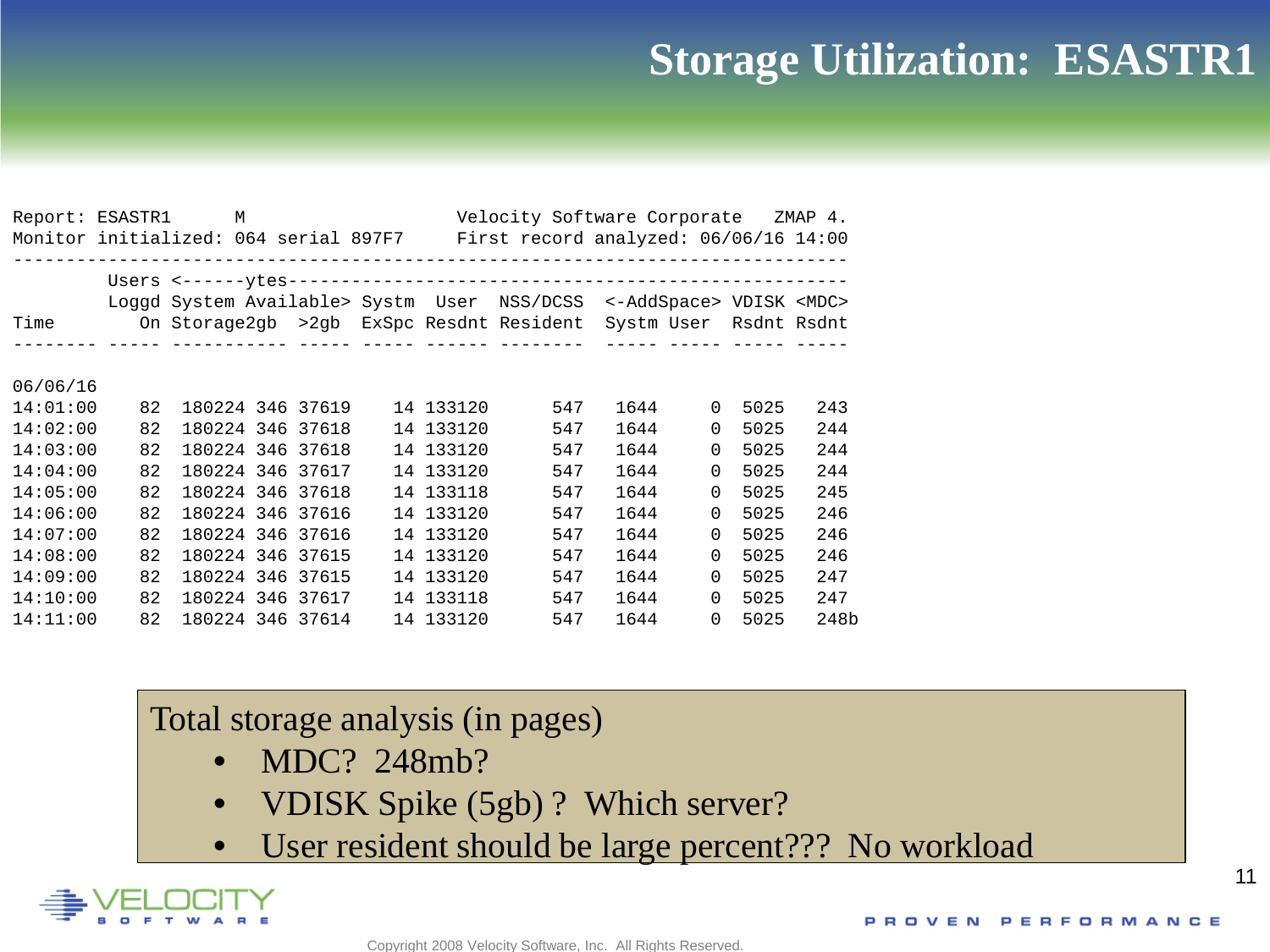## **Storage Utilization: ESASTR1**

| Report: ESASTR1 |    | M                |  |           | Velocity Software Corporate ZMAP 4.<br>Monitor initialized: 064 serial 897F7 First record analyzed: 06/06/16 14:00 |      |          |      |      |
|-----------------|----|------------------|--|-----------|--------------------------------------------------------------------------------------------------------------------|------|----------|------|------|
|                 |    |                  |  |           |                                                                                                                    |      |          |      |      |
|                 |    |                  |  |           | Loggd System Available> Systm User NSS/DCSS <-AddSpace> VDISK <mdc></mdc>                                          |      |          |      |      |
| Time            |    |                  |  |           | On Storage2gb >2gb ExSpc Resdnt Resident Systm User Rsdnt Rsdnt                                                    |      |          |      |      |
|                 |    |                  |  |           |                                                                                                                    |      |          |      |      |
| 06/06/16        |    |                  |  |           |                                                                                                                    |      |          |      |      |
| 14:01:00        | 82 | 180224 346 37619 |  | 14 133120 | 547                                                                                                                | 1644 | $\Omega$ | 5025 | 243  |
| 14:02:00        | 82 | 180224 346 37618 |  | 14 133120 | 547                                                                                                                | 1644 | $\Omega$ | 5025 | 244  |
| 14:03:00        | 82 | 180224 346 37618 |  | 14 133120 | 547                                                                                                                | 1644 | $\Omega$ | 5025 | 244  |
| 14:04:00        | 82 | 180224 346 37617 |  | 14 133120 | 547                                                                                                                | 1644 | $\Omega$ | 5025 | 244  |
| 14:05:00        | 82 | 180224 346 37618 |  | 14 133118 | 547                                                                                                                | 1644 | $\Omega$ | 5025 | 245  |
| 14:06:00        | 82 | 180224 346 37616 |  | 14 133120 | 547                                                                                                                | 1644 | $\Omega$ | 5025 | 246  |
| 14:07:00        | 82 | 180224 346 37616 |  | 14 133120 | 547                                                                                                                | 1644 | $\Omega$ | 5025 | 246  |
| 14:08:00        | 82 | 180224 346 37615 |  | 14 133120 | 547                                                                                                                | 1644 | $\Omega$ | 5025 | 246  |
| 14:09:00        | 82 | 180224 346 37615 |  | 14 133120 | 547                                                                                                                | 1644 | $\Omega$ | 5025 | 247  |
| 14:10:00        | 82 | 180224 346 37617 |  | 14 133118 | 547                                                                                                                | 1644 | $\Omega$ | 5025 | 247  |
| 14:11:00        | 82 | 180224 346 37614 |  | 14 133120 | 547                                                                                                                | 1644 | $\Omega$ | 5025 | 248b |

#### Total storage analysis (in pages)

- MDC? 248mb?
- VDISK Spike (5gb) ? Which server?
- User resident should be large percent??? No workload

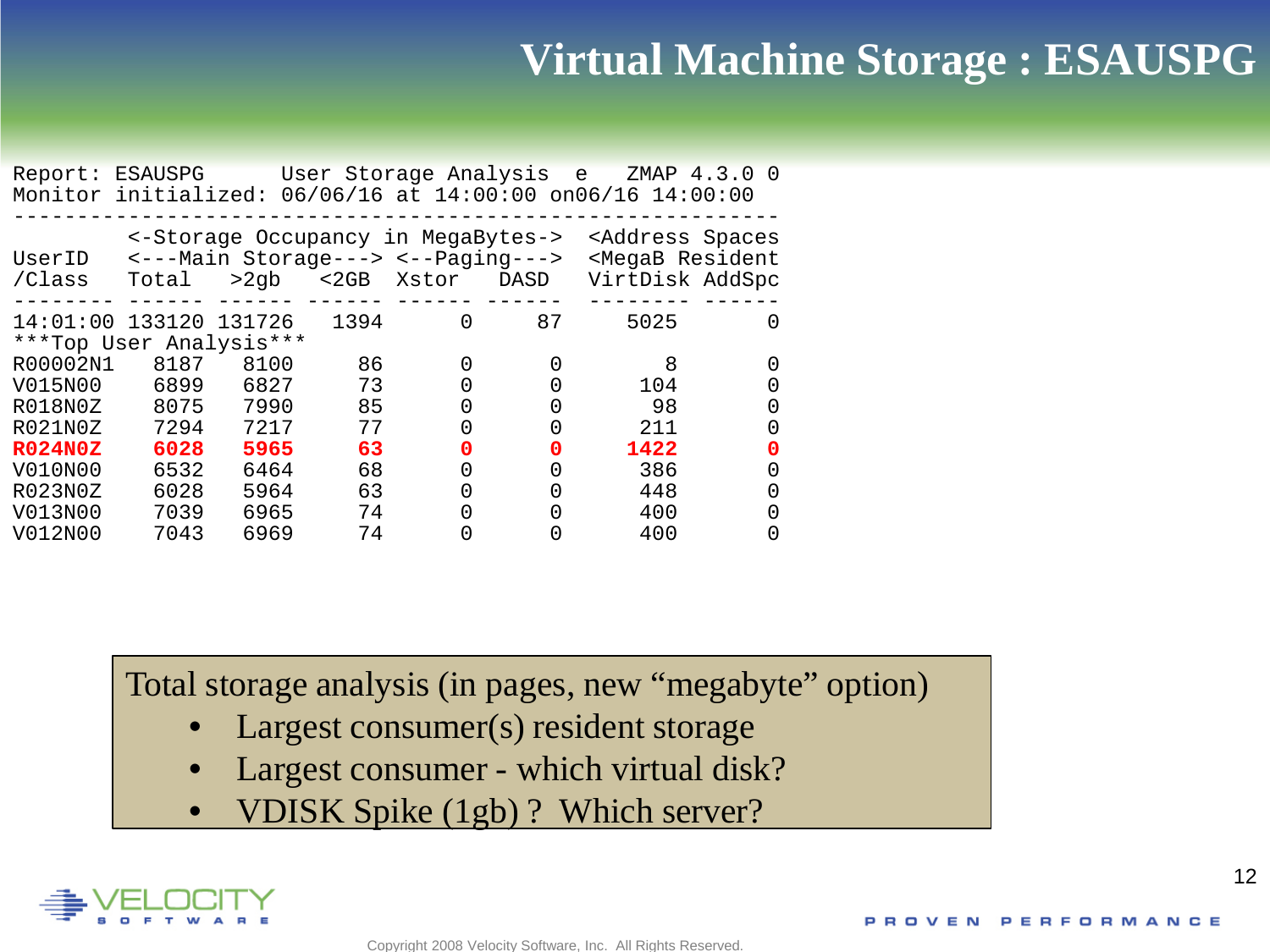## **Virtual Machine Storage : ESAUSPG**

| Report: ESAUSPG                                   |       |                                                                                  |       | User Storage Analysis e |      | Monitor initialized: 06/06/16 at 14:00:00 on06/16 14:00:00                    | ZMAP 4.3.0 0 |
|---------------------------------------------------|-------|----------------------------------------------------------------------------------|-------|-------------------------|------|-------------------------------------------------------------------------------|--------------|
| UserID<br>/Class                                  | Total | <-Storage Occupancy in MegaBytes-><br><---Main Storage---> <--Paging---><br>>2ab | $2GB$ | Xstor                   | DASD | <address spaces<br=""><megab resident<br="">VirtDisk AddSpc</megab></address> |              |
| 14:01:00 133120 131726<br>***Top User Analysis*** |       |                                                                                  | 1394  | $\Omega$                | 87   | 5025                                                                          |              |
| R00002N1                                          | 8187  | 8100                                                                             | 86    | <sup>0</sup>            |      | 8                                                                             |              |
| V015N00                                           | 6899  | 6827                                                                             | 73    |                         |      | 104                                                                           |              |
| R018N0Z                                           | 8075  | 7990                                                                             | 85    |                         |      | 98                                                                            |              |
| RO21N0Z                                           | 7294  | 7217                                                                             | 77    |                         |      | 211                                                                           |              |
| R024N0Z                                           | 6028  | 5965                                                                             | 63    |                         |      | 1422                                                                          |              |
| V010N00                                           | 6532  | 6464                                                                             | 68    |                         |      | 386                                                                           |              |
| RO23N0Z                                           | 6028  | 5964                                                                             | 63    |                         |      | 448                                                                           |              |
| V013N00                                           | 7039  | 6965                                                                             | 74    | 0                       | O    | 400                                                                           |              |
| V012N00                                           | 7043  | 6969                                                                             | 74    |                         |      | 400                                                                           |              |

Total storage analysis (in pages, new "megabyte" option)

- Largest consumer(s) resident storage
- Largest consumer which virtual disk?
- VDISK Spike (1gb) ? Which server?

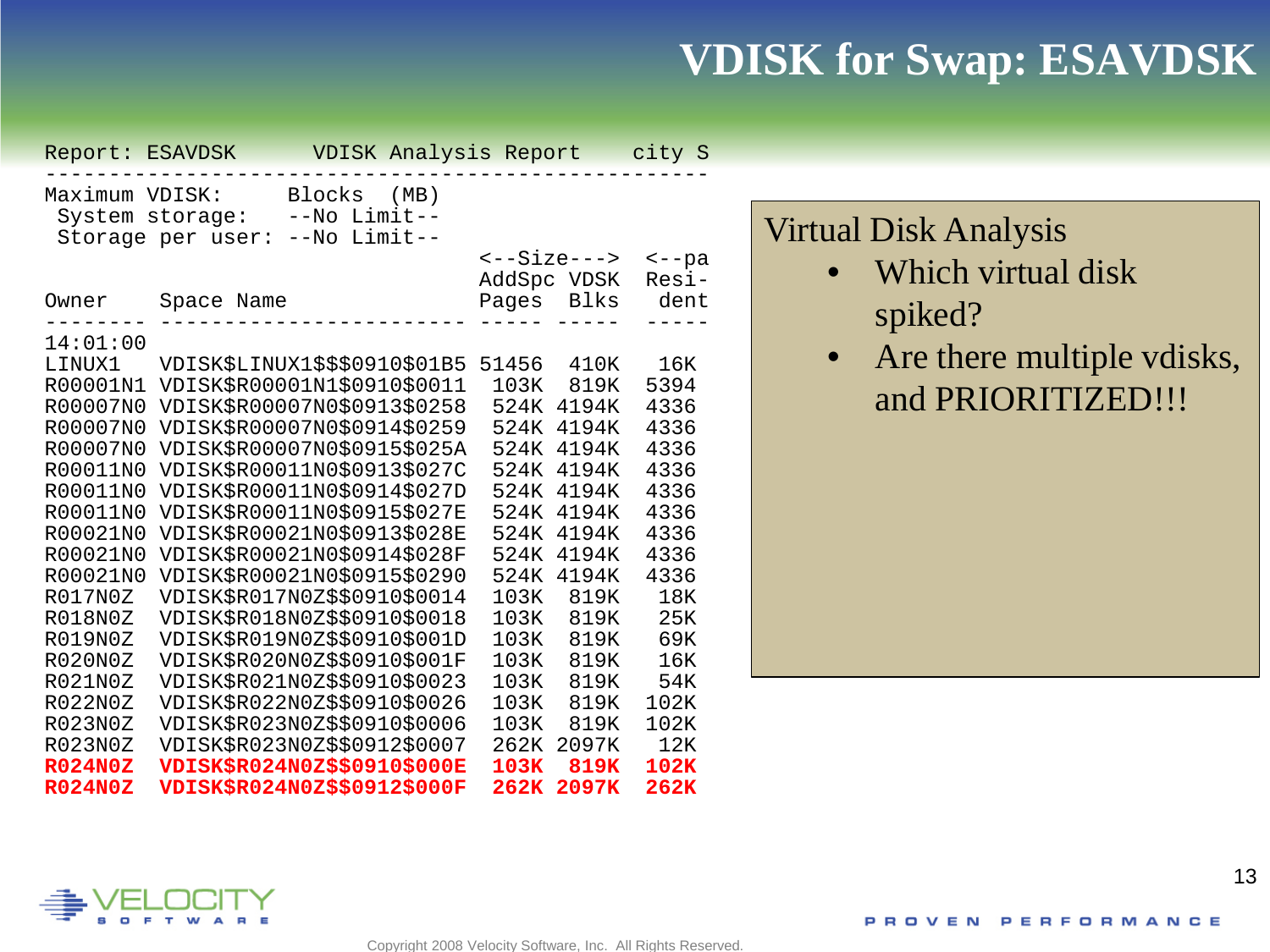## **VDISK for Swap: ESAVDSK**

| Report: ESAVDSK                   |                               |                                             | VDISK Analysis Report |              |       | city S    |
|-----------------------------------|-------------------------------|---------------------------------------------|-----------------------|--------------|-------|-----------|
| Maximum VDISK:<br>System storage: | Storage per user:             | Blocks (MB)<br>--No Limit--<br>--No Limit-- |                       |              |       |           |
|                                   |                               |                                             |                       | $---Size---$ |       | $\t-$ -pa |
|                                   |                               |                                             |                       | AddSpc VDSK  |       | Resi-     |
| Owner                             | Space Name                    |                                             |                       | Pages        | Blks  | dent      |
| 14:01:00                          |                               |                                             |                       |              |       |           |
| LINUX1                            | VDISK\$LINUX1\$\$\$0910\$01B5 |                                             |                       | 51456        | 410K  | 16K       |
| R00001N1                          | VDISK\$R00001N1\$0910\$0011   |                                             |                       | 103K         | 819K  | 5394      |
| R00007N0                          | VDISK\$R00007N0\$0913\$0258   |                                             |                       | 524K         | 4194K | 4336      |
| R00007N0                          | VDISK\$R00007N0\$0914\$0259   |                                             |                       | 524K         | 4194K | 4336      |
| R00007N0                          | VDISK\$R00007N0\$0915\$025A   |                                             |                       | 524K         | 4194K | 4336      |
| R00011N0                          | VDISK\$R00011N0\$0913\$027C   |                                             |                       | 524K         | 4194K | 4336      |
| R00011N0                          | VDISK\$R00011N0\$0914\$027D   |                                             |                       | 524K         | 4194K | 4336      |
| R00011N0                          | VDISK\$R00011N0\$0915\$027E   |                                             |                       | 524K         | 4194K | 4336      |
| R00021N0                          | VDISK\$R00021N0\$0913\$028E   |                                             |                       | 524K         | 4194K | 4336      |
| R00021N0                          | VDISK\$R00021N0\$0914\$028F   |                                             |                       | 524K         | 4194K | 4336      |
| R00021N0                          | VDISK\$R00021N0\$0915\$0290   |                                             |                       | 524K         | 4194K | 4336      |
| R017N0Z                           | VDISK\$R017N0Z\$\$0910\$0014  |                                             |                       | 103K         | 819K  | 18K       |
| R018N0Z                           | VDISK\$R018N0Z\$\$0910\$0018  |                                             |                       | 103K         | 819K  | 25K       |
| R019N0Z                           | VDISK\$R019N0Z\$\$0910\$001D  |                                             |                       | 103K         | 819K  | 69K       |
| R020N0Z                           | VDISK\$R020N0Z\$\$0910\$001F  |                                             |                       | 103K         | 819K  | 16K       |
| R021N0Z                           | VDISK\$R021N0Z\$\$0910\$0023  |                                             |                       | 103K         | 819K  | 54K       |
| R022N0Z                           | VDISK\$R022N0Z\$\$0910\$0026  |                                             |                       | 103K         | 819K  | 102K      |
| R023N0Z                           | VDISK\$R023N0Z\$\$0910\$0006  |                                             |                       | 103K         | 819K  | 102K      |
| R023N0Z                           | VDISK\$R023N0Z\$\$0912\$0007  |                                             |                       | 262K         | 2097K | 12K       |
| <b>R024N0Z</b>                    | VDISK\$R024N0Z\$\$0910\$000E  |                                             |                       | 103K         | 819K  | 102K      |
| <b>R024N0Z</b>                    | VDISK\$R024N0Z\$\$0912\$000F  |                                             |                       | 262K         | 2097K | 262K      |

## Virtual Disk Analysis

- Which virtual disk spiked?
- Are there multiple vdisks, and PRIORITIZED!!!



Copyright 2008 Velocity Software, Inc. All Rights Reserved.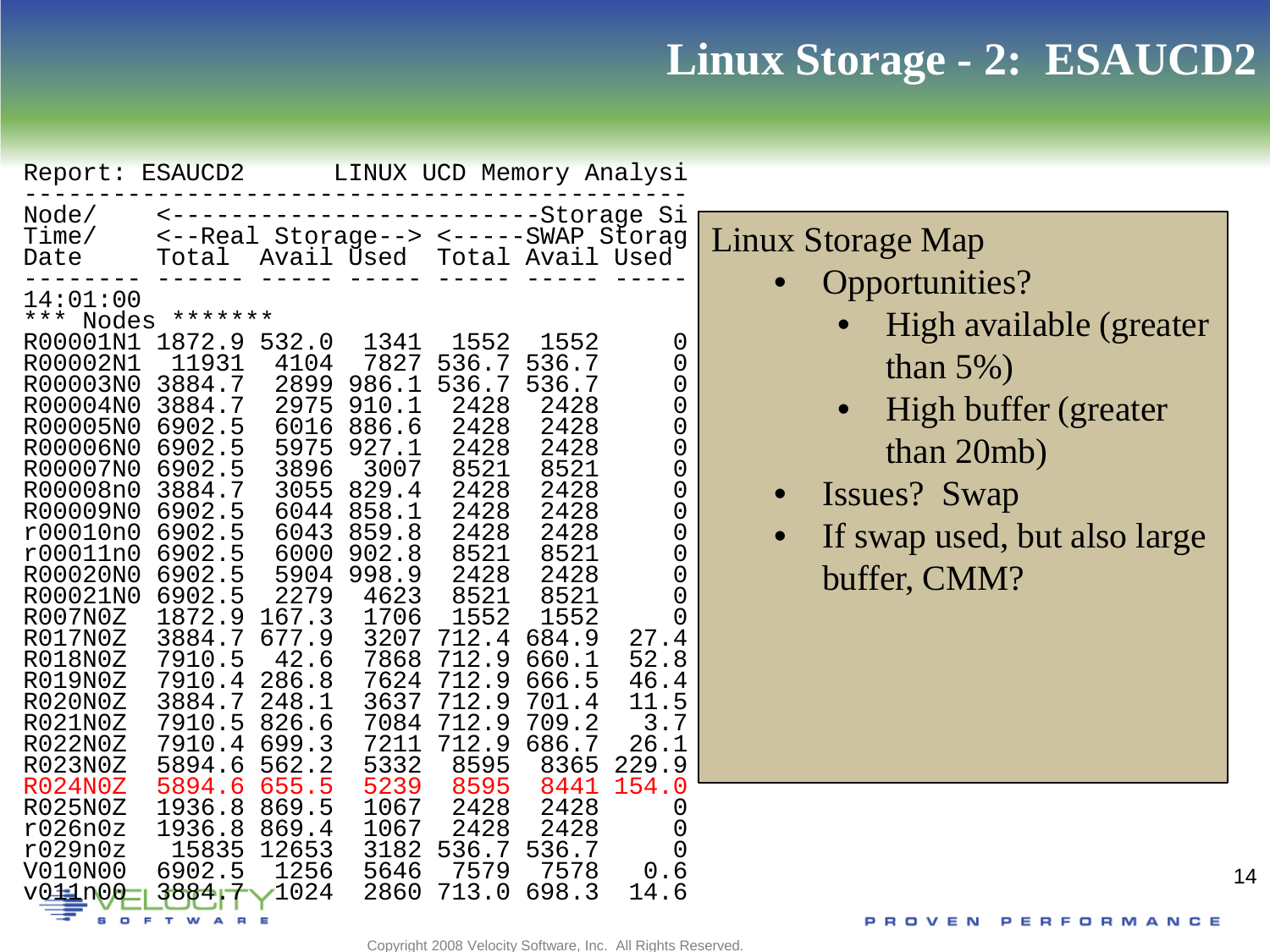# **Linux Storage - 2: ESAUCD2**

| Report: ESAUCD2                                                                                                                                                                                                                                                                                                            |                                                                                                                                                                                                                                                                                                                |                                                                                                                                                                                       |                                                                                                                                                                                                     | LINUX UCD Memory Analysi                                                                                                                                                             |                                                                                                                                                                                                                               |                                                                                                                                |                                                                                                                                                                                                                 |    |
|----------------------------------------------------------------------------------------------------------------------------------------------------------------------------------------------------------------------------------------------------------------------------------------------------------------------------|----------------------------------------------------------------------------------------------------------------------------------------------------------------------------------------------------------------------------------------------------------------------------------------------------------------|---------------------------------------------------------------------------------------------------------------------------------------------------------------------------------------|-----------------------------------------------------------------------------------------------------------------------------------------------------------------------------------------------------|--------------------------------------------------------------------------------------------------------------------------------------------------------------------------------------|-------------------------------------------------------------------------------------------------------------------------------------------------------------------------------------------------------------------------------|--------------------------------------------------------------------------------------------------------------------------------|-----------------------------------------------------------------------------------------------------------------------------------------------------------------------------------------------------------------|----|
| Node/<br>Time/<br>Date<br>14:01:00<br>* * *<br>Nodes<br>R00001N1<br>R00002N1<br>R00003N0<br>R00004N0<br>R00005N0<br>R00006N0<br>R00007N0<br>R00008n0<br>R00009N0<br>r00010n0<br>r00011n0<br>R00020N0<br>R00021N0<br>R007N0Z<br>R017N0Z<br>R018N0Z<br>R019N0Z<br><b>R020N0Z</b><br>R021N0Z<br>R022N0Z<br>R023N0Z<br>R024N0Z | $\leftarrow$ $  -$<br><--Real Storage--> <-----SWAP Storag<br>Total<br>*******<br>1872.9<br>11931<br>3884.7<br>3884.7<br>6902.5<br>6902.5<br>6902.5<br>3884.7<br>6902.5<br>6902.5<br>6902.5<br>6902.5<br>6902.5<br>1872.9<br>3884.7<br>7910.5<br>7910.4<br>3884.7<br>7910.5<br>7910.4<br>5894.6<br>5894<br>. 6 | 532.0<br>4104<br>2899<br>2975<br>6016<br>5975<br>3896<br>3055<br>6044<br>6043<br>6000<br>5904<br>2279<br>167.3<br>677.9<br>42.6<br>286.8<br>248.1<br>826.6<br>699.3<br>562.2<br>655.5 | Avail Used<br>1341<br>7827<br>986.1<br>910.1<br>886.6<br>927.1<br>3007<br>829.4<br>858.1<br>859.8<br>902.8<br>998.9<br>4623<br>1706<br>3207<br>7868<br>7624<br>3637<br>7084<br>7211<br>5332<br>5239 | 1552<br>536.7<br>536.7<br>2428<br>2428<br>2428<br>8521<br>2428<br>2428<br>2428<br>8521<br>2428<br>8521<br>1552<br>712.4<br>712.9<br>712.9<br>712.9<br>712.9<br>712.9<br>8595<br>8595 | -------Storage Si<br>Total Avail Used<br>1552<br>536.7<br>536.7<br>2428<br>2428<br>2428<br>8521<br>2428<br>2428<br>2428<br>8521<br>2428<br>8521<br>1552<br>684.9<br>660.1<br>666.5<br>701.4<br>709.2<br>686.7<br>8365<br>8441 | 0<br>0<br>0<br>0<br>0<br>0<br>0<br>0<br>0<br>0<br>0<br>0<br>0<br>27.4<br>52.8<br>46.4<br>11.5<br>3.7<br>26.1<br>229.9<br>154.0 | <b>Linux Storage Map</b><br>Opportunities?<br>High available (greater<br>than $5\%$ )<br>High buffer (greater<br>than 20mb)<br><b>Issues?</b> Swap<br>If swap used, but also large<br>$\bullet$<br>buffer, CMM? |    |
| R025N0Z<br>r026n0z<br>r029n0z                                                                                                                                                                                                                                                                                              | 1936.8<br>1936.8<br>15835                                                                                                                                                                                                                                                                                      | 869.5<br>869.4<br>12653                                                                                                                                                               | 1067<br>1067<br>3182                                                                                                                                                                                | 2428<br>2428<br>536.7                                                                                                                                                                | 2428<br>2428<br>536.7                                                                                                                                                                                                         | O                                                                                                                              |                                                                                                                                                                                                                 |    |
| V010N00<br>$v0 \pm 100$                                                                                                                                                                                                                                                                                                    | 6902.5<br>3884                                                                                                                                                                                                                                                                                                 | 1256<br>1024                                                                                                                                                                          | 5646<br>2860                                                                                                                                                                                        | 7579<br>713.0                                                                                                                                                                        | 7578<br>698.3                                                                                                                                                                                                                 | 0.6<br>14.6                                                                                                                    |                                                                                                                                                                                                                 | 14 |
|                                                                                                                                                                                                                                                                                                                            |                                                                                                                                                                                                                                                                                                                |                                                                                                                                                                                       |                                                                                                                                                                                                     |                                                                                                                                                                                      |                                                                                                                                                                                                                               |                                                                                                                                |                                                                                                                                                                                                                 |    |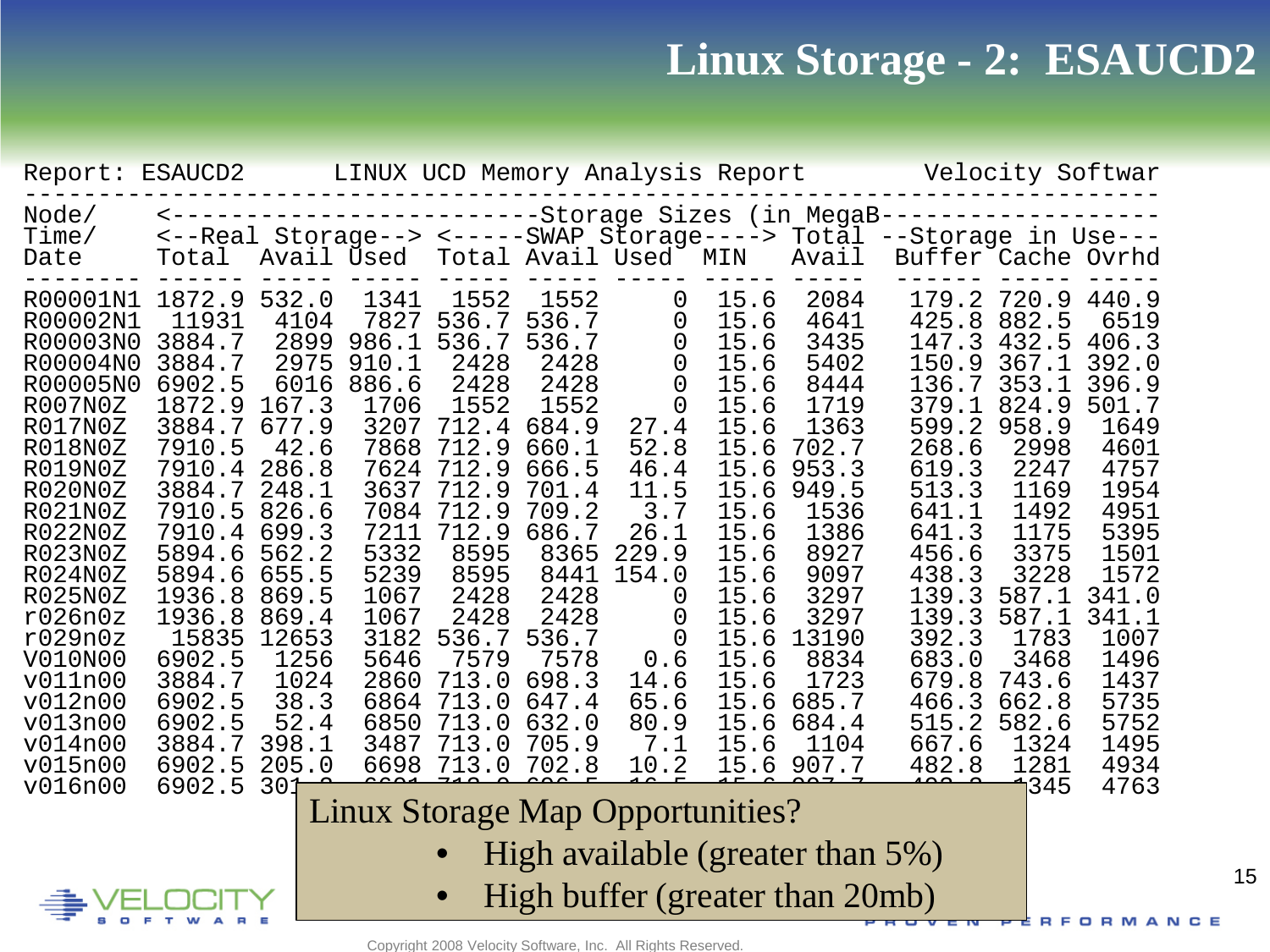## **Linux Storage - 2: ESAUCD2**

| Report: ESAUCD2                                                                                                                                                                                                                                                                  |                                                                                                                                                                                                                                            |                                                                                                                                                                                                                       |                                                                                                                                                                                         |                                                                                                                                                                                                    |                                                                                                                                                                                                    |                                                                                                                                                          |                                                                                                                                                                                               | LINUX UCD Memory Analysis Report                                                                                                                                                                 |                                                                                                                                                                                                             | Velocity Softwar                                                                                                                                                                                        |                                                                                                                                                                                                     |
|----------------------------------------------------------------------------------------------------------------------------------------------------------------------------------------------------------------------------------------------------------------------------------|--------------------------------------------------------------------------------------------------------------------------------------------------------------------------------------------------------------------------------------------|-----------------------------------------------------------------------------------------------------------------------------------------------------------------------------------------------------------------------|-----------------------------------------------------------------------------------------------------------------------------------------------------------------------------------------|----------------------------------------------------------------------------------------------------------------------------------------------------------------------------------------------------|----------------------------------------------------------------------------------------------------------------------------------------------------------------------------------------------------|----------------------------------------------------------------------------------------------------------------------------------------------------------|-----------------------------------------------------------------------------------------------------------------------------------------------------------------------------------------------|--------------------------------------------------------------------------------------------------------------------------------------------------------------------------------------------------|-------------------------------------------------------------------------------------------------------------------------------------------------------------------------------------------------------------|---------------------------------------------------------------------------------------------------------------------------------------------------------------------------------------------------------|-----------------------------------------------------------------------------------------------------------------------------------------------------------------------------------------------------|
| Node/<br>Time/<br>Date                                                                                                                                                                                                                                                           | <--------------------------Storage Sizes (in MegaB--<br><--Real Storage--> <-----SWAP Storage----> Total<br>Total                                                                                                                          | Avail Used                                                                                                                                                                                                            |                                                                                                                                                                                         |                                                                                                                                                                                                    | Total Avail Used MIN                                                                                                                                                                               |                                                                                                                                                          |                                                                                                                                                                                               | Avail                                                                                                                                                                                            | ----------<br>--Storage in Use---<br>Buffer Cache Ovrhd                                                                                                                                                     |                                                                                                                                                                                                         |                                                                                                                                                                                                     |
| R00001N1<br>R00002N1<br>R00003N0<br>R00004N0<br>R00005N0<br>R007N0Z<br>R017N0Z<br>R018N0Z<br>R019N0Z<br><b>R020N0Z</b><br>R021N0Z<br>R022N0Z<br>R023N0Z<br>R024N0Z<br>R025N0Z<br>r026n0z<br>r029n0z<br>V010N00<br>v011n00<br>v012n00<br>v013n00<br>v014n00<br>v015n00<br>v016n00 | 1872.9<br>11931<br>3884.7<br>3884.7<br>6902.5<br>1872.9<br>3884.7<br>7910.5<br>7910.4<br>3884.7<br>7910.5<br>7910.4<br>5894.6<br>5894.6<br>1936.8<br>1936.8<br>15835<br>6902.5<br>3884.7<br>6902.5<br>6902.5<br>3884.7<br>6902.5<br>6902.5 | 532.0<br>4104<br>2899<br>2975<br>6016<br>167.3<br>677.9<br>42.6<br>286.8<br>248.1<br>826.6<br>699.3<br>562.2<br>655.5<br>869.5<br>869.4<br>12653<br>1256<br>1024<br>38.3<br>52.4<br>398.1<br>205.0<br>30 <sup>2</sup> | 1341<br>7827<br>986.1<br>910.1<br>886.6<br>1706<br>3207<br>7868<br>7624<br>3637<br>7084<br>7211<br>5332<br>5239<br>1067<br>1067<br>3182<br>5646<br>2860<br>6864<br>6850<br>3487<br>6698 | 1552<br>536.7<br>536.7<br>2428<br>2428<br>1552<br>712.4<br>712.9<br>712.9<br>712.9<br>712.9<br>712.9<br>8595<br>8595<br>2428<br>2428<br>536.7<br>7579<br>713.0<br>713.0<br>713.0<br>713.0<br>713.0 | 1552<br>536.7<br>536.7<br>2428<br>2428<br>1552<br>684.9<br>660.1<br>666.5<br>701.4<br>709.2<br>686.7<br>8365<br>8441<br>2428<br>2428<br>536.7<br>7578<br>698.3<br>647.4<br>632.0<br>705.9<br>702.8 | 0<br>0<br>0<br>0<br>0<br>0<br>27.4<br>52.8<br>46.4<br>11.5<br>3.7<br>26.1<br>229.9<br>154.0<br>0<br>0<br>0<br>0.6<br>14.6<br>65.6<br>80.9<br>7.1<br>10.2 | 15.6<br>15.6<br>15.6<br>15.6<br>15.6<br>15.6<br>15.6<br>15.6<br>15.6<br>15.6<br>15.6<br>15.6<br>15.6<br>15.6<br>15.6<br>. 6<br>15<br>.6<br>15<br>15.6<br>15.6<br>.6<br>15<br>15<br>.6<br>15.6 | 2084<br>4641<br>3435<br>5402<br>8444<br>1719<br>1363<br>702.7<br>953.3<br>949.5<br>1536<br>1386<br>8927<br>9097<br>3297<br>3297<br>13190<br>8834<br>1723<br>685.7<br>684.4<br>1104<br>15.6 907.7 | 179.2<br>425.8<br>147.3<br>150.9<br>136.7<br>379.1<br>599.2<br>268.6<br>619.3<br>513.3<br>641.1<br>641.3<br>456.6<br>438.3<br>139.3<br>139.3<br>392.3<br>683.0<br>679.8<br>466.3<br>515.2<br>667.6<br>482.8 | 720.9<br>882.5<br>432.5<br>367.1<br>353.1<br>824.9<br>958.9<br>2998<br>2247<br>1169<br>1492<br>1175<br>3375<br>3228<br>587.1<br>587.1<br>1783<br>3468<br>743.6<br>662.8<br>582.6<br>1324<br>1281<br>345 | 440.9<br>6519<br>406.3<br>392.0<br>396.9<br>501.7<br>1649<br>4601<br>4757<br>1954<br>4951<br>5395<br>1501<br>1572<br>341.0<br>341.1<br>1007<br>1496<br>1437<br>5735<br>5752<br>1495<br>4934<br>4763 |
|                                                                                                                                                                                                                                                                                  |                                                                                                                                                                                                                                            |                                                                                                                                                                                                                       | <b>Linux Storage Map Opportunities?</b>                                                                                                                                                 |                                                                                                                                                                                                    |                                                                                                                                                                                                    |                                                                                                                                                          |                                                                                                                                                                                               |                                                                                                                                                                                                  |                                                                                                                                                                                                             |                                                                                                                                                                                                         |                                                                                                                                                                                                     |
|                                                                                                                                                                                                                                                                                  |                                                                                                                                                                                                                                            |                                                                                                                                                                                                                       |                                                                                                                                                                                         |                                                                                                                                                                                                    |                                                                                                                                                                                                    |                                                                                                                                                          |                                                                                                                                                                                               | High available (greater than 5%)                                                                                                                                                                 |                                                                                                                                                                                                             |                                                                                                                                                                                                         |                                                                                                                                                                                                     |
|                                                                                                                                                                                                                                                                                  |                                                                                                                                                                                                                                            |                                                                                                                                                                                                                       |                                                                                                                                                                                         |                                                                                                                                                                                                    |                                                                                                                                                                                                    |                                                                                                                                                          |                                                                                                                                                                                               | High buffer (greater than 20mb)                                                                                                                                                                  |                                                                                                                                                                                                             |                                                                                                                                                                                                         | <b>RFORMANCE</b>                                                                                                                                                                                    |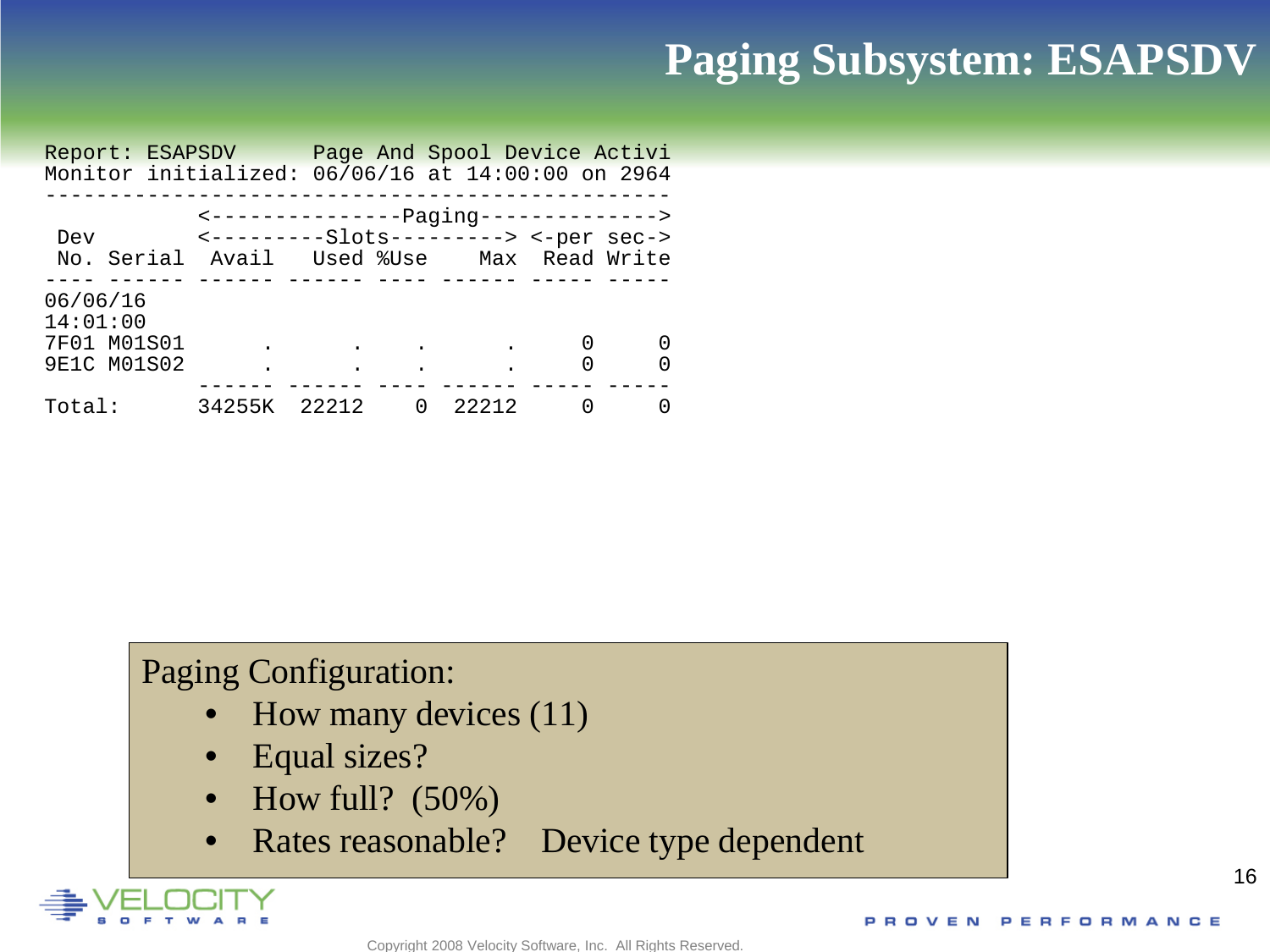# **Paging Subsystem: ESAPSDV**

| Report: ESAPSDV Page And Spool Device Activi      |                                        |       |              |       |   |  |
|---------------------------------------------------|----------------------------------------|-------|--------------|-------|---|--|
| Monitor initialized: 06/06/16 at 14:00:00 on 2964 |                                        |       |              |       |   |  |
|                                                   |                                        |       |              |       |   |  |
|                                                   | <----------------Paging--------------> |       |              |       |   |  |
| Dev                                               | <----------Slots---------> <-per sec-> |       |              |       |   |  |
| No. Serial Avail Used %Use Max Read Write         |                                        |       |              |       |   |  |
|                                                   |                                        |       |              |       |   |  |
| 06/06/16                                          |                                        |       |              |       |   |  |
| 14:01:00                                          |                                        |       |              |       |   |  |
| 7F01 M01S01                                       |                                        |       |              |       | O |  |
| 9E1C M01S02                                       |                                        |       | $\bullet$    |       | 0 |  |
|                                                   |                                        |       |              |       |   |  |
| Total:                                            | 34255K                                 | 22212 | <sup>0</sup> | 22212 | O |  |

### Paging Configuration:

- How many devices (11)
- Equal sizes?
- How full?  $(50\%)$
- Rates reasonable? Device type dependent